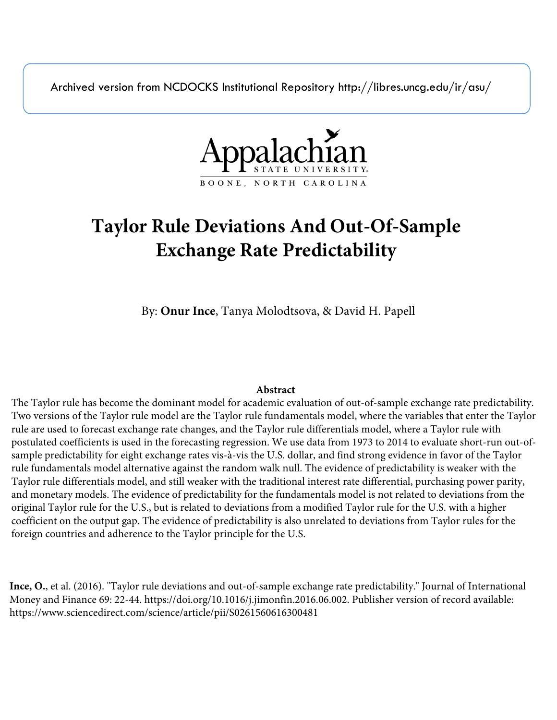Archived version from NCDOCKS Institutional Repository http://libres.uncg.edu/ir/asu/



# **Taylor Rule Deviations And Out-Of-Sample Exchange Rate Predictability**

By: **Onur Ince**, Tanya Molodtsova, & David H. Papell

# **Abstract**

The Taylor rule has become the dominant model for academic evaluation of out-of-sample exchange rate predictability. Two versions of the Taylor rule model are the Taylor rule fundamentals model, where the variables that enter the Taylor rule are used to forecast exchange rate changes, and the Taylor rule differentials model, where a Taylor rule with postulated coefficients is used in the forecasting regression. We use data from 1973 to 2014 to evaluate short-run out-ofsample predictability for eight exchange rates vis-à-vis the U.S. dollar, and find strong evidence in favor of the Taylor rule fundamentals model alternative against the random walk null. The evidence of predictability is weaker with the Taylor rule differentials model, and still weaker with the traditional interest rate differential, purchasing power parity, and monetary models. The evidence of predictability for the fundamentals model is not related to deviations from the original Taylor rule for the U.S., but is related to deviations from a modified Taylor rule for the U.S. with a higher coefficient on the output gap. The evidence of predictability is also unrelated to deviations from Taylor rules for the foreign countries and adherence to the Taylor principle for the U.S.

**Ince, O.**, et al. (2016). "Taylor rule deviations and out-of-sample exchange rate predictability." Journal of International Money and Finance 69: 22-44. https://doi.org/10.1016/j.jimonfin.2016.06.002. Publisher version of record available: https://www.sciencedirect.com/science/article/pii/S0261560616300481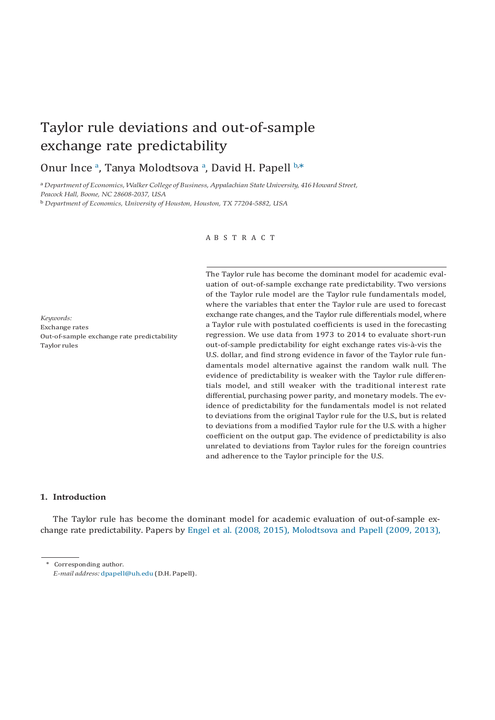# Taylor rule deviations and out-of-sample exchange rate predictability

# Onur Ince <sup>[a](#page-1-0)</sup>, Tanya Molodtsova <sup>a</sup>, David H. Papell <sup>[b,](#page-1-1)[\\*](#page-1-2)</sup>

<span id="page-1-0"></span>a *Department of Economics, Walker College of Business, Appalachian State University, 416Howard Street,*

<span id="page-1-1"></span>*Peacock Hall, Boone, NC 28608-2037, USA*

b *Department of Economics, University of Houston, Houston, TX 77204-5882, USA*

#### A B S T R A C T

*Keywords:* Exchange rates Out-of-sample exchange rate predictability Taylor rules

The Taylor rule has become the dominant model for academic evaluation of out-of-sample exchange rate predictability. Two versions of the Taylor rule model are the Taylor rule fundamentals model, where the variables that enter the Taylor rule are used to forecast exchange rate changes, and the Taylor rule differentials model, where a Taylor rule with postulated coefficients is used in the forecasting regression. We use data from 1973 to 2014 to evaluate short-run out-of-sample predictability for eight exchange rates vis-à-vis the U.S. dollar, and find strong evidence in favor of the Taylor rule fundamentals model alternative against the random walk null. The evidence of predictability is weaker with the Taylor rule differentials model, and still weaker with the traditional interest rate differential, purchasing power parity, and monetary models. The evidence of predictability for the fundamentals model is not related to deviations from the original Taylor rule for the U.S., but is related to deviations from a modified Taylor rule for the U.S. with a higher coefficient on the output gap. The evidence of predictability is also unrelated to deviations from Taylor rules for the foreign countries and adherence to the Taylor principle for the U.S.

#### **1. Introduction**

The Taylor rule has become the dominant model for academic evaluation of out-of-sample exchange rate predictability. Papers by Engel et al. (2008, 2015), [Molodtsova](#page-25-0) and Papell (2009, 2013),

<span id="page-1-2"></span><sup>\*</sup> Corresponding author. *E-mail address:* [dpapell@uh.edu](mailto:dpapell@uh.edu) (D.H. Papell).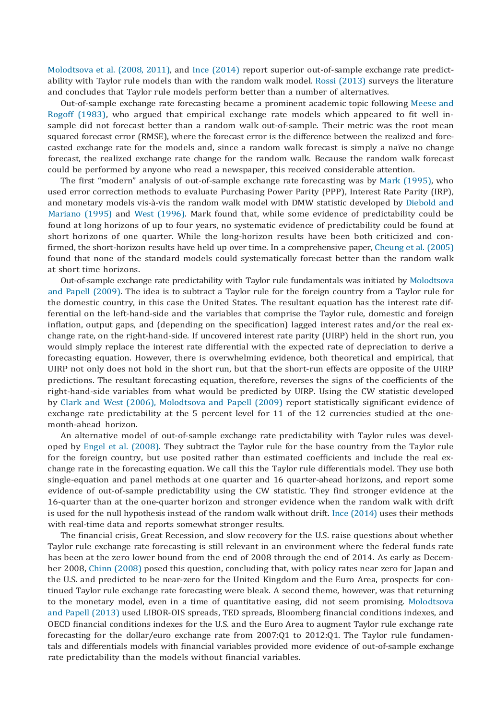[Molodtsova](#page-25-0) et al. (2008, 2011), and Ince [\(2014\)](#page-25-1) report superior out-of-sample exchange rate predictability with Taylor rule models than with the random walk model. Rossi [\(2013\)](#page-25-2) surveys the literature and concludes that Taylor rule models perform better than a number of alternatives.

Out-of-sample exchange rate forecasting became a prominent academic topic following [Meese](#page-25-3) and [Rogoff \(1983\),](#page-25-3) who argued that empirical exchange rate models which appeared to fit well insample did not forecast better than a random walk out-of-sample. Their metric was the root mean squared forecast error (RMSE), where the forecast error is the difference between the realized and forecasted exchange rate for the models and, since a random walk forecast is simply a naïve no change forecast, the realized exchange rate change for the random walk. Because the random walk forecast could be performed by anyone who read a newspaper, this received considerable attention.

The first "modern" analysis of out-of-sample exchange rate forecasting was by Mark [\(1995\),](#page-25-4) who used error correction methods to evaluate Purchasing Power Parity (PPP), Interest Rate Parity (IRP), and monetary models vis-à-vis the random walk model with DMW statistic developed by [Diebold](#page-25-5) and [Mariano](#page-25-5) (1995) and West [\(1996\).](#page-25-6) Mark found that, while some evidence of predictability could be found at long horizons of up to four years, no systematic evidence of predictability could be found at short horizons of one quarter. While the long-horizon results have been both criticized and confirmed, the short-horizon results have held up over time. In a comprehensive paper[, Cheung](#page-25-7) et al. (2005) found that none of the standard models could systematically forecast better than the random walk at short time horizons.

Out-of-sample exchange rate predictability with Taylor rule fundamentals was initiated by [Molodtsova](#page-25-8) [and Papell](#page-25-8) (2009). The idea is to subtract a Taylor rule for the foreign country from a Taylor rule for the domestic country, in this case the United States. The resultant equation has the interest rate differential on the left-hand-side and the variables that comprise the Taylor rule, domestic and foreign inflation, output gaps, and (depending on the specification) lagged interest rates and/or the real exchange rate, on the right-hand-side. If uncovered interest rate parity (UIRP) held in the short run, you would simply replace the interest rate differential with the expected rate of depreciation to derive a forecasting equation. However, there is overwhelming evidence, both theoretical and empirical, that UIRP not only does not hold in the short run, but that the short-run effects are opposite of the UIRP predictions. The resultant forecasting equation, therefore, reverses the signs of the coefficients of the right-hand-side variables from what would be predicted by UIRP. Using the CW statistic developed by Clark and [West \(2006\),](#page-25-9) Molodtsova and Papell (2009) report statistically significant evidence of exchange rate predictability at the 5 percent level for 11 of the 12 currencies studied at the onemonth-ahead horizon.

An alternative model of out-of-sample exchange rate predictability with Taylor rules was developed by Engel et al. [\(2008\).](#page-25-0) They subtract the Taylor rule for the base country from the Taylor rule for the foreign country, but use posited rather than estimated coefficients and include the real exchange rate in the forecasting equation. We call this the Taylor rule differentials model. They use both single-equation and panel methods at one quarter and 16 quarter-ahead horizons, and report some evidence of out-of-sample predictability using the CW statistic. They find stronger evidence at the 16-quarter than at the one-quarter horizon and stronger evidence when the random walk with drift is used for the null hypothesis instead of the random walk without drift. Ince [\(2014\)](#page-25-1) uses their methods with real-time data and reports somewhat stronger results.

The financial crisis, Great Recession, and slow recovery for the U.S. raise questions about whether Taylor rule exchange rate forecasting is still relevant in an environment where the federal funds rate has been at the zero lower bound from the end of 2008 through the end of 2014. As early as December 2008, Chinn [\(2008\)](#page-25-10) posed this question, concluding that, with policy rates near zero for Japan and the U.S. and predicted to be near-zero for the United Kingdom and the Euro Area, prospects for continued Taylor rule exchange rate forecasting were bleak. A second theme, however, was that returning to the monetary model, even in a time of quantitative easing, did not seem promising. [Molodtsova](#page-25-11) [and Papell](#page-25-11) (2013) used LIBOR-OIS spreads, TED spreads, Bloomberg financial conditions indexes, and OECD financial conditions indexes for the U.S. and the Euro Area to augment Taylor rule exchange rate forecasting for the dollar/euro exchange rate from 2007:Q1 to 2012:Q1. The Taylor rule fundamentals and differentials models with financial variables provided more evidence of out-of-sample exchange rate predictability than the models without financial variables.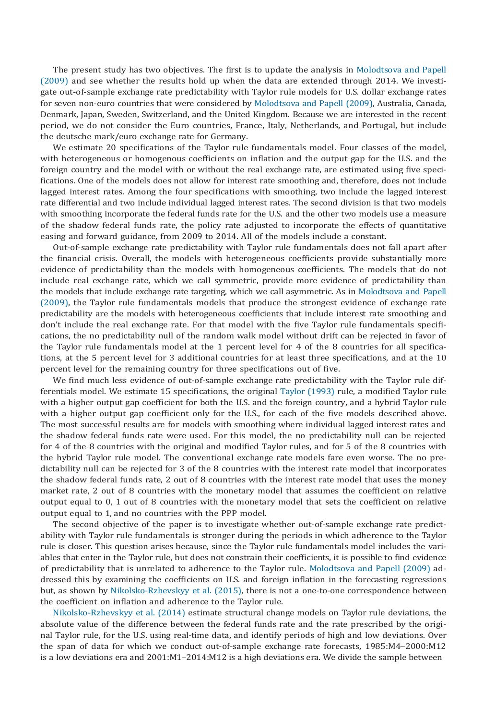The present study has two objectives. The first is to update the analysis in [Molodtsova](#page-25-8) and Papell [\(2009\)](#page-25-8) and see whether the results hold up when the data are extended through 2014. We investigate out-of-sample exchange rate predictability with Taylor rule models for U.S. dollar exchange rates for seven non-euro countries that were considered by [Molodtsova](#page-25-8) and Papell (2009), Australia, Canada, Denmark, Japan, Sweden, Switzerland, and the United Kingdom. Because we are interested in the recent period, we do not consider the Euro countries, France, Italy, Netherlands, and Portugal, but include the deutsche mark/euro exchange rate for Germany.

We estimate 20 specifications of the Taylor rule fundamentals model. Four classes of the model, with heterogeneous or homogenous coefficients on inflation and the output gap for the U.S. and the foreign country and the model with or without the real exchange rate, are estimated using five specifications. One of the models does not allow for interest rate smoothing and, therefore, does not include lagged interest rates. Among the four specifications with smoothing, two include the lagged interest rate differential and two include individual lagged interest rates. The second division is that two models with smoothing incorporate the federal funds rate for the U.S. and the other two models use a measure of the shadow federal funds rate, the policy rate adjusted to incorporate the effects of quantitative easing and forward guidance, from 2009 to 2014. All of the models include a constant.

Out-of-sample exchange rate predictability with Taylor rule fundamentals does not fall apart after the financial crisis. Overall, the models with heterogeneous coefficients provide substantially more evidence of predictability than the models with homogeneous coefficients. The models that do not include real exchange rate, which we call symmetric, provide more evidence of predictability than the models that include exchange rate targeting, which we call asymmetric. As in [Molodtsova](#page-25-8) and Papell [\(2009\),](#page-25-8) the Taylor rule fundamentals models that produce the strongest evidence of exchange rate predictability are the models with heterogeneous coefficients that include interest rate smoothing and don't include the real exchange rate. For that model with the five Taylor rule fundamentals specifications, the no predictability null of the random walk model without drift can be rejected in favor of the Taylor rule fundamentals model at the 1 percent level for 4 of the 8 countries for all specifications, at the 5 percent level for 3 additional countries for at least three specifications, and at the 10 percent level for the remaining country for three specifications out of five.

We find much less evidence of out-of-sample exchange rate predictability with the Taylor rule differentials model. We estimate 15 specifications, the original Taylor [\(1993\)](#page-25-12) rule, a modified Taylor rule with a higher output gap coefficient for both the U.S. and the foreign country, and a hybrid Taylor rule with a higher output gap coefficient only for the U.S., for each of the five models described above. The most successful results are for models with smoothing where individual lagged interest rates and the shadow federal funds rate were used. For this model, the no predictability null can be rejected for 4 of the 8 countries with the original and modified Taylor rules, and for 5 of the 8 countries with the hybrid Taylor rule model. The conventional exchange rate models fare even worse. The no predictability null can be rejected for 3 of the 8 countries with the interest rate model that incorporates the shadow federal funds rate, 2 out of 8 countries with the interest rate model that uses the money market rate, 2 out of 8 countries with the monetary model that assumes the coefficient on relative output equal to 0, 1 out of 8 countries with the monetary model that sets the coefficient on relative output equal to 1, and no countries with the PPP model.

The second objective of the paper is to investigate whether out-of-sample exchange rate predictability with Taylor rule fundamentals is stronger during the periods in which adherence to the Taylor rule is closer. This question arises because, since the Taylor rule fundamentals model includes the variables that enter in the Taylor rule, but does not constrain their coefficients, it is possible to find evidence of predictability that is unrelated to adherence to the Taylor rule. [Molodtsova](#page-25-8) and Papell (2009) addressed this by examining the coefficients on U.S. and foreign inflation in the forecasting regressions but, as shown by [Nikolsko-Rzhevskyy](#page-25-13) et al. (2015), there is not a one-to-one correspondence between the coefficient on inflation and adherence to the Taylor rule.

[Nikolsko-Rzhevskyy](#page-25-14) et al. (2014) estimate structural change models on Taylor rule deviations, the absolute value of the difference between the federal funds rate and the rate prescribed by the original Taylor rule, for the U.S. using real-time data, and identify periods of high and low deviations. Over the span of data for which we conduct out-of-sample exchange rate forecasts, 1985:M4–2000:M12 is a low deviations era and 2001:M1–2014:M12 is a high deviations era. We divide the sample between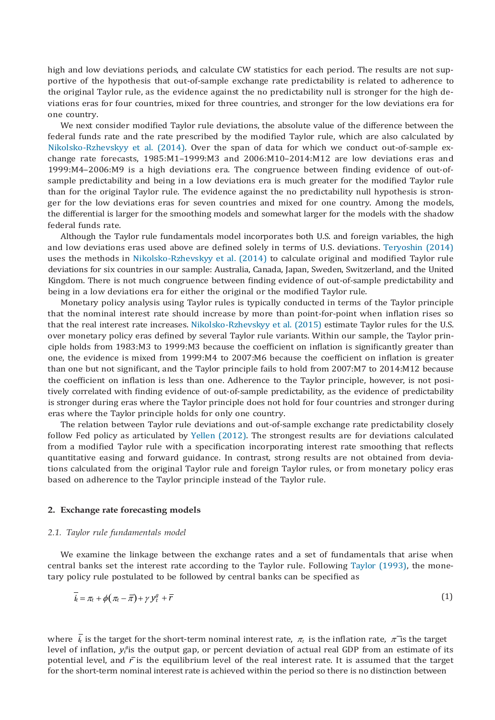high and low deviations periods, and calculate CW statistics for each period. The results are not supportive of the hypothesis that out-of-sample exchange rate predictability is related to adherence to the original Taylor rule, as the evidence against the no predictability null is stronger for the high deviations eras for four countries, mixed for three countries, and stronger for the low deviations era for one country.

We next consider modified Taylor rule deviations, the absolute value of the difference between the federal funds rate and the rate prescribed by the modified Taylor rule, which are also calculated by [Nikolsko-Rzhevskyy](#page-25-14) et al. (2014). Over the span of data for which we conduct out-of-sample exchange rate forecasts, 1985:M1–1999:M3 and 2006:M10–2014:M12 are low deviations eras and 1999:M4–2006:M9 is a high deviations era. The congruence between finding evidence of out-ofsample predictability and being in a low deviations era is much greater for the modified Taylor rule than for the original Taylor rule. The evidence against the no predictability null hypothesis is stronger for the low deviations eras for seven countries and mixed for one country. Among the models, the differential is larger for the smoothing models and somewhat larger for the models with the shadow federal funds rate.

Although the Taylor rule fundamentals model incorporates both U.S. and foreign variables, the high and low deviations eras used above are defined solely in terms of U.S. deviations. [Teryoshin](#page-25-15) (2014) uses the methods in [Nikolsko-Rzhevskyy](#page-25-14) et al. (2014) to calculate original and modified Taylor rule deviations for six countries in our sample: Australia, Canada, Japan, Sweden, Switzerland, and the United Kingdom. There is not much congruence between finding evidence of out-of-sample predictability and being in a low deviations era for either the original or the modified Taylor rule.

Monetary policy analysis using Taylor rules is typically conducted in terms of the Taylor principle that the nominal interest rate should increase by more than point-for-point when inflation rises so that the real interest rate increases. [Nikolsko-Rzhevskyy](#page-25-13) et al. (2015) estimate Taylor rules for the U.S. over monetary policy eras defined by several Taylor rule variants. Within our sample, the Taylor principle holds from 1983:M3 to 1999:M3 because the coefficient on inflation is significantly greater than one, the evidence is mixed from 1999:M4 to 2007:M6 because the coefficient on inflation is greater than one but not significant, and the Taylor principle fails to hold from 2007:M7 to 2014:M12 because the coefficient on inflation is less than one. Adherence to the Taylor principle, however, is not positively correlated with finding evidence of out-of-sample predictability, as the evidence of predictability is stronger during eras where the Taylor principle does not hold for four countries and stronger during eras where the Taylor principle holds for only one country.

The relation between Taylor rule deviations and out-of-sample exchange rate predictability closely follow Fed policy as articulated by Yellen [\(2012\).](#page-25-16) The strongest results are for deviations calculated from a modified Taylor rule with a specification incorporating interest rate smoothing that reflects quantitative easing and forward guidance. In contrast, strong results are not obtained from deviations calculated from the original Taylor rule and foreign Taylor rules, or from monetary policy eras based on adherence to the Taylor principle instead of the Taylor rule.

#### **2. Exchange rate forecasting models**

#### *2.1. Taylor rule fundamentals model*

We examine the linkage between the exchange rates and a set of fundamentals that arise when central banks set the interest rate according to the Taylor rule. Following Taylor [\(1993\),](#page-25-12) the monetary policy rule postulated to be followed by central banks can be specified as

<span id="page-4-0"></span>
$$
\overline{i_t} = \pi_t + \phi(\pi_t - \overline{\pi}) + \gamma y_t^g + \overline{r}
$$
\n<sup>(1)</sup>

level of inflation,  $y_t^g$  is the output gap, or percent deviation of actual real GDP from an estimate of its where  $\bar{i}_t$  is the target for the short-term nominal interest rate,  $\pi_i$  is the inflation rate,  $\pi$ <sup>-</sup> is the target potential level, and  $\bar{r}$  is the equilibrium level of the real interest rate. It is assumed that the target for the short-term nominal interest rate is achieved within the period so there is no distinction between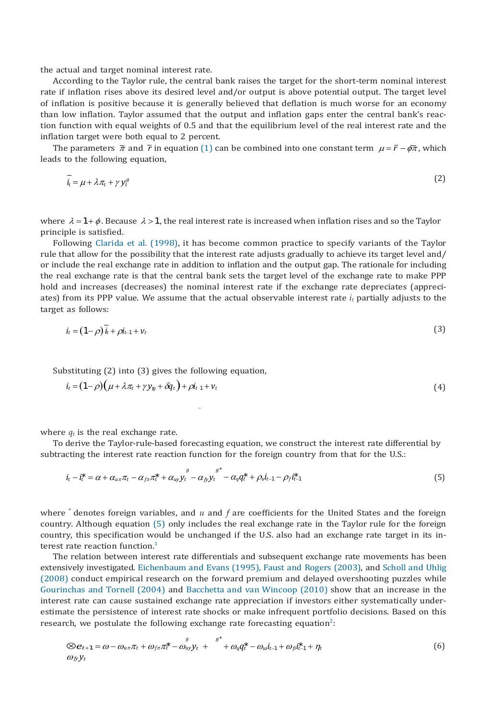the actual and target nominal interest rate.

According to the Taylor rule, the central bank raises the target for the short-term nominal interest rate if inflation rises above its desired level and/or output is above potential output. The target level of inflation is positive because it is generally believed that deflation is much worse for an economy than low inflation. Taylor assumed that the output and inflation gaps enter the central bank's reaction function with equal weights of 0.5 and that the equilibrium level of the real interest rate and the inflation target were both equal to 2 percent.

The parameters  $\bar{\pi}$  and  $\bar{r}$  in equation [\(1\)](#page-4-0) can be combined into one constant term  $\mu = \bar{r} - \phi \bar{\pi}$ , which leads to the following equation,

$$
\overline{i_t} = \mu + \lambda \pi_t + \gamma y_t^g \tag{2}
$$

where  $\lambda = 1 + \phi$ . Because  $\lambda > 1$ , the real interest rate is increased when inflation rises and so the Taylor principle is satisfied.

Following Clarida et al. [\(1998\),](#page-25-17) it has become common practice to specify variants of the Taylor rule that allow for the possibility that the interest rate adjusts gradually to achieve its target level and/ or include the real exchange rate in addition to inflation and the output gap. The rationale for including the real exchange rate is that the central bank sets the target level of the exchange rate to make PPP hold and increases (decreases) the nominal interest rate if the exchange rate depreciates (appreciates) from its PPP value. We assume that the actual observable interest rate  $i_t$  partially adjusts to the target as follows:

$$
i_t = (1 - \rho)\overline{i_t} + \rho i_{t-1} + v_t \tag{3}
$$

Substituting (2) into (3) gives the following equation,

−

$$
i_t = (1 - \rho) \left( \mu + \lambda \pi_t + \gamma y_{\psi} + \delta q_t \right) + \rho i_{t+1} + v_t \tag{4}
$$

where  $q_t$  is the real exchange rate.

<span id="page-5-0"></span>To derive the Taylor-rule-based forecasting equation, we construct the interest rate differential by subtracting the interest rate reaction function for the foreign country from that for the U.S.:

$$
i_{t} - i_{t}^{*} = \alpha + \alpha_{u\pi}\pi_{t} - \alpha_{f\pi}\pi_{t}^{*} + \alpha_{uy}y_{t}^{g} - \alpha_{fy}y_{t}^{g^{*}} - \alpha_{q}q_{t}^{*} + \rho_{u}i_{t-1} - \rho_{f}i_{t-1}^{*}
$$
\n(5)

where \* denotes foreign variables, and *u* and *f* are coefficients for the United States and the foreign country. Although equation [\(5\)](#page-5-0) only includes the real exchange rate in the Taylor rule for the foreign country, this specification would be unchanged if the U.S. also had an exchange rate target in its interest rate reaction functio[n.](#page-6-0)<sup>1</sup>

The relation between interest rate differentials and subsequent exchange rate movements has been extensively investigated. Eichenbaum and Evans [\(1995\), Faust](#page-25-18) and Rogers (2003), and [Scholl](#page-25-19) and Uhlig [\(2008\)](#page-25-19) conduct empirical research on the forward premium and delayed overshooting puzzles while Gourinchas [and Tornell](#page-25-20) (2004) and [Bacchetta](#page-25-21) and van Wincoop (2010) show that an increase in the interest rate can cause sustained exchange rate appreciation if investors either systematically underestimate the persistence of interest rate shocks or make infrequent portfolio decisions. Based on this research, we postulate the following exchange rate forecasting equation<sup>[2](#page-6-0)</sup>:

$$
\otimes e_{t+1} = \omega - \omega_{u\pi}\pi_t + \omega_{f\pi}\pi_t^* - \omega_{uy}^y y_t + \omega_q q_t^* - \omega_{ui}i_{t-1} + \omega_{fl}i_{t-1}^* + \eta_t
$$
\n
$$
\omega_{fv}y_t
$$
\n(6)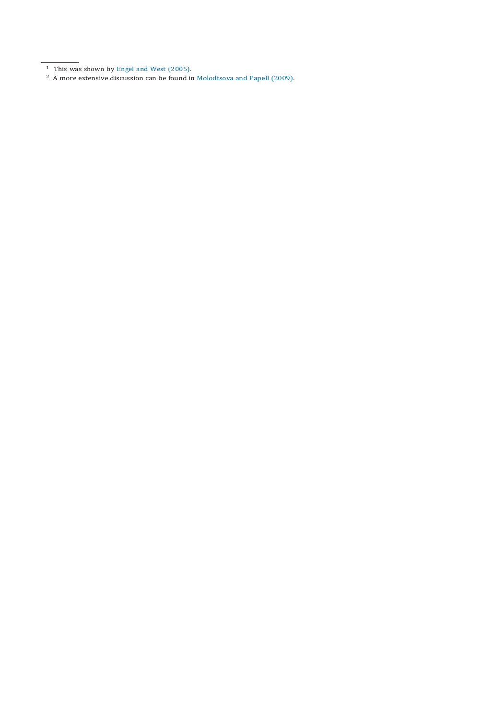<span id="page-6-0"></span> $1$  This was shown by Engel and West [\(2005\).](#page-25-22)

 $2\,$  A more extensive discussion can be found in [Molodtsova and Papell](#page-25-8) (2009).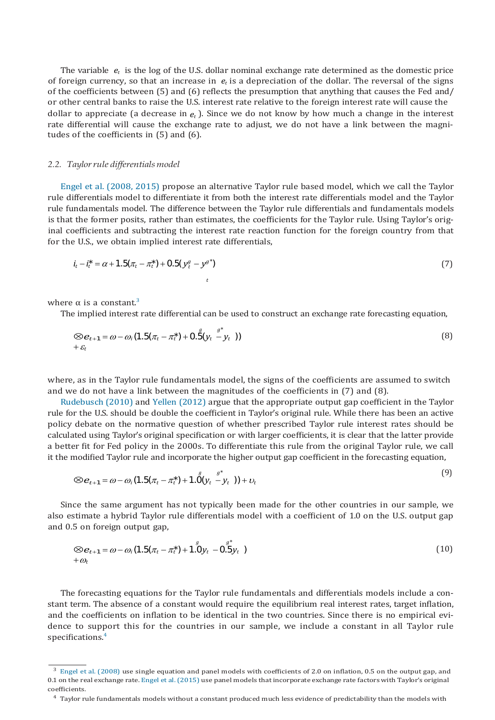The variable  $e<sub>i</sub>$  is the log of the U.S. dollar nominal exchange rate determined as the domestic price of foreign currency, so that an increase in  $e_t$  is a depreciation of the dollar. The reversal of the signs of the coefficients between (5) and (6) reflects the presumption that anything that causes the Fed and/ or other central banks to raise the U.S. interest rate relative to the foreign interest rate will cause the dollar to appreciate (a decrease in  $e_t$ ). Since we do not know by how much a change in the interest rate differential will cause the exchange rate to adjust, we do not have a link between the magnitudes of the coefficients in (5) and (6).

#### *2.2. Taylorrule differentialsmodel*

Engel et al. [\(2008,](#page-25-0) 2015) propose an alternative Taylor rule based model, which we call the Taylor rule differentials model to differentiate it from both the interest rate differentials model and the Taylor rule fundamentals model. The difference between the Taylor rule differentials and fundamentals models is that the former posits, rather than estimates, the coefficients for the Taylor rule. Using Taylor's original coefficients and subtracting the interest rate reaction function for the foreign country from that for the U.S., we obtain implied interest rate differentials,

$$
i_t - i_t^* = \alpha + 1.5(\pi_t - \pi_t^*) + 0.5(y_t^g - y^{g^*})
$$
\n(7)

where  $\alpha$  is a constant.<sup>3</sup>

The implied interest rate differential can be used to construct an exchange rate forecasting equation,

*t*

$$
\otimes e_{t+1} = \omega - \omega_i (1.5(\pi_t - \pi_t^*) + 0.5(y_t - y_t))
$$
\n
$$
+ \varepsilon_t \tag{8}
$$

where, as in the Taylor rule fundamentals model, the signs of the coefficients are assumed to switch and we do not have a link between the magnitudes of the coefficients in (7) and (8).

[Rudebusch](#page-25-23) (2010) and Yellen [\(2012\)](#page-25-16) argue that the appropriate output gap coefficient in the Taylor rule for the U.S. should be double the coefficient in Taylor's original rule. While there has been an active policy debate on the normative question of whether prescribed Taylor rule interest rates should be calculated using Taylor's original specification or with larger coefficients, it is clear that the latter provide a better fit for Fed policy in the 2000s. To differentiate this rule from the original Taylor rule, we call it the modified Taylor rule and incorporate the higher output gap coefficient in the forecasting equation,

$$
\otimes e_{t+1} = \omega - \omega_i (1.5(\pi_t - \pi_t^*) + 1.0(y_t - y_t)) + \nu_t
$$
\n(9)

Since the same argument has not typically been made for the other countries in our sample, we also estimate a hybrid Taylor rule differentials model with a coefficient of 1.0 on the U.S. output gap and 0.5 on foreign output gap,

$$
\otimes e_{t+1} = \omega - \omega_i (1.5(\pi_t - \pi_t^*) + 1.0 y_t - 0.5 y_t)
$$
\n
$$
+ \omega_t \tag{10}
$$

The forecasting equations for the Taylor rule fundamentals and differentials models include a constant term. The absence of a constant would require the equilibrium real interest rates, target inflation, and the coefficients on inflation to be identical in the two countries. Since there is no empirical evidence to support this for the countries in our sample, we include a constant in all Taylor rule specification[s.](#page-7-1)<sup>4</sup>

<span id="page-7-0"></span><sup>3</sup> [Engel](#page-25-0) et al. (2008) use single equation and panel models with coefficients of 2.0 on inflation, 0.5 on the output gap, and 0.1 on the real exchange rate. Engel et al. [\(2015\)](#page-25-24) use panel models that incorporate exchange rate factors with Taylor's original coefficients.

<span id="page-7-1"></span><sup>4</sup> Taylor rule fundamentals models without a constant produced much less evidence of predictability than the models with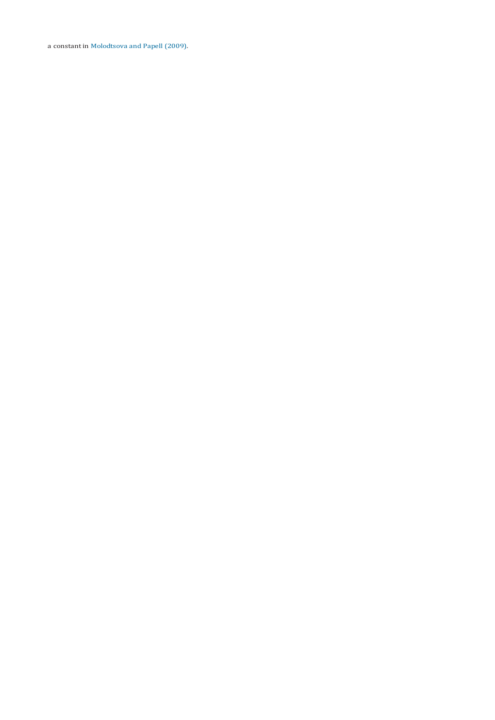a constant in [Molodtsova and Papell](#page-25-8) (2009).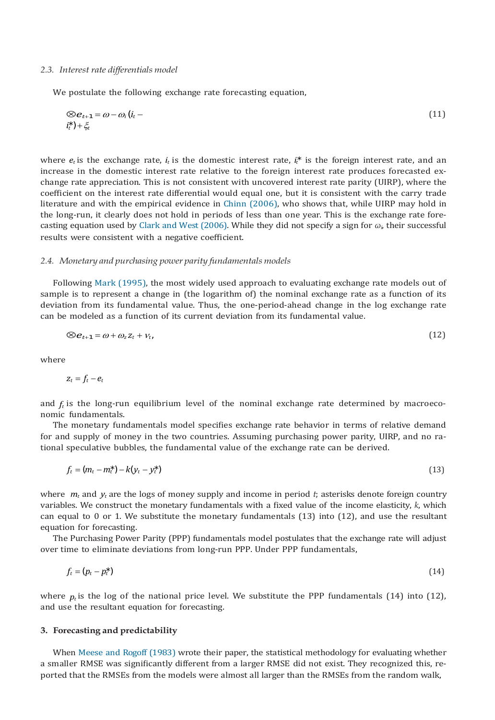We postulate the following exchange rate forecasting equation,

$$
\otimes e_{t+1} = \omega - \omega_i (i_t - i_t^*) + \xi_t \tag{11}
$$

where  $e_t$  is the exchange rate,  $i_t$  is the domestic interest rate,  $i_t^*$  is the foreign interest rate, and an increase in the domestic interest rate relative to the foreign interest rate produces forecasted exchange rate appreciation. This is not consistent with uncovered interest rate parity (UIRP), where the coefficient on the interest rate differential would equal one, but it is consistent with the carry trade literature and with the empirical evidence in Chinn [\(2006\),](#page-25-25) who shows that, while UIRP may hold in the long-run, it clearly does not hold in periods of less than one year. This is the exchange rate forecasting equation used by Clark [and West \(2006\).](#page-25-9) While they did not specify a sign for *ωi*, their successful results were consistent with a negative coefficient.

## *2.4. Monetary and purchasing power parity fundamentals models*

Following Mark [\(1995\),](#page-25-4) the most widely used approach to evaluating exchange rate models out of sample is to represent a change in (the logarithm of) the nominal exchange rate as a function of its deviation from its fundamental value. Thus, the one-period-ahead change in the log exchange rate can be modeled as a function of its current deviation from its fundamental value.

$$
\otimes e_{t+1} = \omega + \omega_z z_t + v_t, \tag{12}
$$

where

 $z_t = f_t - e_t$ 

and  $f<sub>i</sub>$  is the long-run equilibrium level of the nominal exchange rate determined by macroeconomic fundamentals.

The monetary fundamentals model specifies exchange rate behavior in terms of relative demand for and supply of money in the two countries. Assuming purchasing power parity, UIRP, and no rational speculative bubbles, the fundamental value of the exchange rate can be derived.

$$
f_t = (m_t - m_t^*) - k(y_t - y_t^*)
$$
\n<sup>(13)</sup>

where  $m_t$  and  $y_t$  are the logs of money supply and income in period  $t_i$ ; asterisks denote foreign country variables. We construct the monetary fundamentals with a fixed value of the income elasticity, *k*, which can equal to 0 or 1. We substitute the monetary fundamentals (13) into (12), and use the resultant equation for forecasting.

The Purchasing Power Parity (PPP) fundamentals model postulates that the exchange rate will adjust over time to eliminate deviations from long-run PPP. Under PPP fundamentals,

$$
f_t = (p_t - p_t^*)
$$
\n<sup>(14)</sup>

where  $p_t$  is the log of the national price level. We substitute the PPP fundamentals (14) into (12), and use the resultant equation for forecasting.

#### **3. Forecasting and predictability**

When Meese [and Rogoff](#page-25-3) (1983) wrote their paper, the statistical methodology for evaluating whether a smaller RMSE was significantly different from a larger RMSE did not exist. They recognized this, reported that the RMSEs from the models were almost all larger than the RMSEs from the random walk,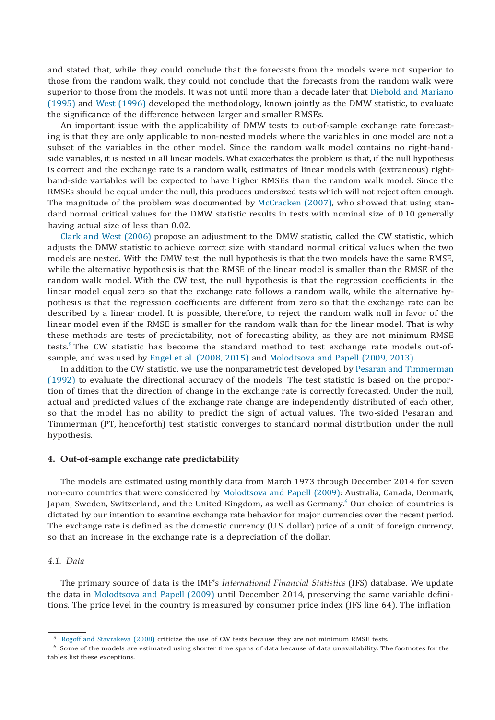and stated that, while they could conclude that the forecasts from the models were not superior to those from the random walk, they could not conclude that the forecasts from the random walk were superior to those from the models. It was not until more than a decade later that Diebold and [Mariano](#page-25-5) [\(1995\)](#page-25-5) and West [\(1996\)](#page-25-6) developed the methodology, known jointly as the DMW statistic, to evaluate the significance of the difference between larger and smaller RMSEs.

An important issue with the applicability of DMW tests to out-of-sample exchange rate forecasting is that they are only applicable to non-nested models where the variables in one model are not a subset of the variables in the other model. Since the random walk model contains no right-handside variables, it is nested in all linear models. What exacerbates the problem is that, if the null hypothesis is correct and the exchange rate is a random walk, estimates of linear models with (extraneous) righthand-side variables will be expected to have higher RMSEs than the random walk model. Since the RMSEs should be equal under the null, this produces undersized tests which will not reject often enough. The magnitude of the problem was documented by [McCracken](#page-25-26) (2007), who showed that using standard normal critical values for the DMW statistic results in tests with nominal size of 0.10 generally having actual size of less than 0.02.

Clark and West [\(2006\)](#page-25-9) propose an adjustment to the DMW statistic, called the CW statistic, which adjusts the DMW statistic to achieve correct size with standard normal critical values when the two models are nested. With the DMW test, the null hypothesis is that the two models have the same RMSE, while the alternative hypothesis is that the RMSE of the linear model is smaller than the RMSE of the random walk model. With the CW test, the null hypothesis is that the regression coefficients in the linear model equal zero so that the exchange rate follows a random walk, while the alternative hypothesis is that the regression coefficients are different from zero so that the exchange rate can be described by a linear model. It is possible, therefore, to reject the random walk null in favor of the linear model even if the RMSE is smaller for the random walk than for the linear model. That is why these methods are tests of predictability, not of forecasting ability, as they are not minimum RMSE test[s.](#page-10-0) <sup>5</sup> The CW statistic has become the standard method to test exchange rate models out-ofsample, and was used by Engel et al. [\(2008,](#page-25-0) 2015) and [Molodtsova](#page-25-8) and Papell (2009, 2013).

In addition to the CW statistic, we use the nonparametric test developed by Pesaran and [Timmerman](#page-25-27) [\(1992\)](#page-25-27) to evaluate the directional accuracy of the models. The test statistic is based on the proportion of times that the direction of change in the exchange rate is correctly forecasted. Under the null, actual and predicted values of the exchange rate change are independently distributed of each other, so that the model has no ability to predict the sign of actual values. The two-sided Pesaran and Timmerman (PT, henceforth) test statistic converges to standard normal distribution under the null hypothesis.

#### **4. Out-of-sample exchange rate predictability**

The models are estimated using monthly data from March 1973 through December 2014 for seven non-euro countries that were considered by [Molodtsova](#page-25-8) and Papell (2009): Australia, Canada, Denmark, Japan, Sweden, Switzerland, and the United Kingdom, as well as German[y.6](#page-10-0) Our choice of countries is dictated by our intention to examine exchange rate behavior for major currencies over the recent period. The exchange rate is defined as the domestic currency (U.S. dollar) price of a unit of foreign currency, so that an increase in the exchange rate is a depreciation of the dollar.

#### *4.1. Data*

The primary source of data is the IMF's *International Financial Statistics* (IFS) database. We update the data in [Molodtsova](#page-25-8) and Papell (2009) until December 2014, preserving the same variable definitions. The price level in the country is measured by consumer price index (IFS line 64). The inflation

<span id="page-10-0"></span><sup>5</sup> Rogoff and [Stavrakeva](#page-25-28) (2008) criticize the use of CW tests because they are not minimum RMSE tests.

 $6$  Some of the models are estimated using shorter time spans of data because of data unavailability. The footnotes for the tables list these exceptions.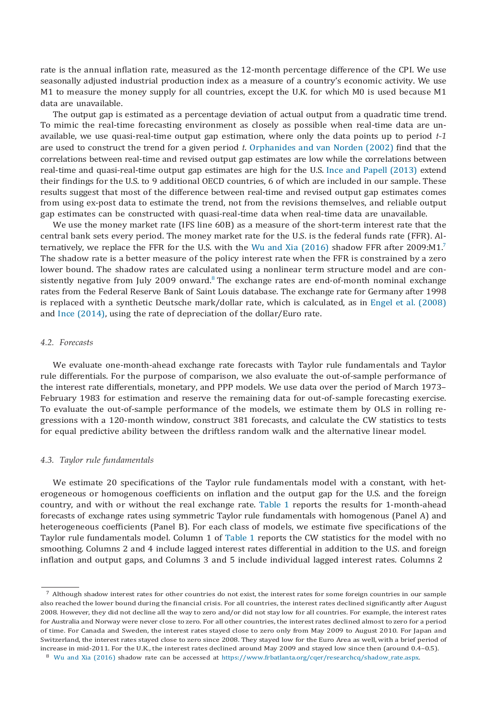rate is the annual inflation rate, measured as the 12-month percentage difference of the CPI. We use seasonally adjusted industrial production index as a measure of a country's economic activity. We use M1 to measure the money supply for all countries, except the U.K. for which M0 is used because M1 data are unavailable.

The output gap is estimated as a percentage deviation of actual output from a quadratic time trend. To mimic the real-time forecasting environment as closely as possible when real-time data are unavailable, we use quasi-real-time output gap estimation, where only the data points up to period *t-1* are used to construct the trend for a given period *t*. [Orphanides](#page-25-29) and van Norden (2002) find that the correlations between real-time and revised output gap estimates are low while the correlations between real-time and quasi-real-time output gap estimates are high for the U.S. Ince [and Papell](#page-25-30) (2013) extend their findings for the U.S. to 9 additional OECD countries, 6 of which are included in our sample. These results suggest that most of the difference between real-time and revised output gap estimates comes from using ex-post data to estimate the trend, not from the revisions themselves, and reliable output gap estimates can be constructed with quasi-real-time data when real-time data are unavailable.

We use the money market rate (IFS line 60B) as a measure of the short-term interest rate that the central bank sets every period. The money market rate for the U.S. is the federal funds rate (FFR). Alternatively, we replace the FFR for the U.S. with the Wu and Xia [\(2016\)](#page-25-31) shadow FFR after 2009:M[1.7](#page-11-0) The shadow rate is a better measure of the policy interest rate when the FFR is constrained by a zero lower bound. The shadow rates are calculated using a nonlinear term structure model and are consistently negative from July 2009 onward.<sup>8</sup> The exchange rates are end-of-month nominal exchange rates from the Federal Reserve Bank of Saint Louis database. The exchange rate for Germany after 1998 is replaced with a synthetic Deutsche mark/dollar rate, which is calculated, as in Engel et al. [\(2008\)](#page-25-0) and Ince [\(2014\),](#page-25-1) using the rate of depreciation of the dollar/Euro rate.

#### *4.2. Forecasts*

We evaluate one-month-ahead exchange rate forecasts with Taylor rule fundamentals and Taylor rule differentials. For the purpose of comparison, we also evaluate the out-of-sample performance of the interest rate differentials, monetary, and PPP models. We use data over the period of March 1973– February 1983 for estimation and reserve the remaining data for out-of-sample forecasting exercise. To evaluate the out-of-sample performance of the models, we estimate them by OLS in rolling regressions with a 120-month window, construct 381 forecasts, and calculate the CW statistics to tests for equal predictive ability between the driftless random walk and the alternative linear model.

#### *4.3. Taylor rule fundamentals*

We estimate 20 specifications of the Taylor rule fundamentals model with a constant, with heterogeneous or homogenous coefficients on inflation and the output gap for the U.S. and the foreign country, and with or without the real exchange rate. [Table 1](#page-12-0) reports the results for 1-month-ahead forecasts of exchange rates using symmetric Taylor rule fundamentals with homogenous (Panel A) and heterogeneous coefficients (Panel B). For each class of models, we estimate five specifications of the Taylor rule fundamentals model. Column 1 of [Table 1](#page-12-0) reports the CW statistics for the model with no smoothing. Columns 2 and 4 include lagged interest rates differential in addition to the U.S. and foreign inflation and output gaps, and Columns 3 and 5 include individual lagged interest rates. Columns 2

<span id="page-11-0"></span> $7$  Although shadow interest rates for other countries do not exist, the interest rates for some foreign countries in our sample also reached the lower bound during the financial crisis. For all countries, the interest rates declined significantly after August 2008. However, they did not decline all the way to zero and/or did not stay low for all countries. For example, the interest rates for Australia and Norway were never close to zero. For all other countries, the interest rates declined almost to zero for a period of time. For Canada and Sweden, the interest rates stayed close to zero only from May 2009 to August 2010. For Japan and Switzerland, the interest rates stayed close to zero since 2008. They stayed low for the Euro Area as well, with a brief period of increase in mid-2011. For the U.K., the interest rates declined around May 2009 and stayed low since then (around 0.4–0.5).

<span id="page-11-1"></span><sup>&</sup>lt;sup>8</sup> [Wu and](#page-25-31) Xia (2016) shadow rate can be accessed at https://www.frbatlanta.org/cqer/researchcq/shadow rate.aspx.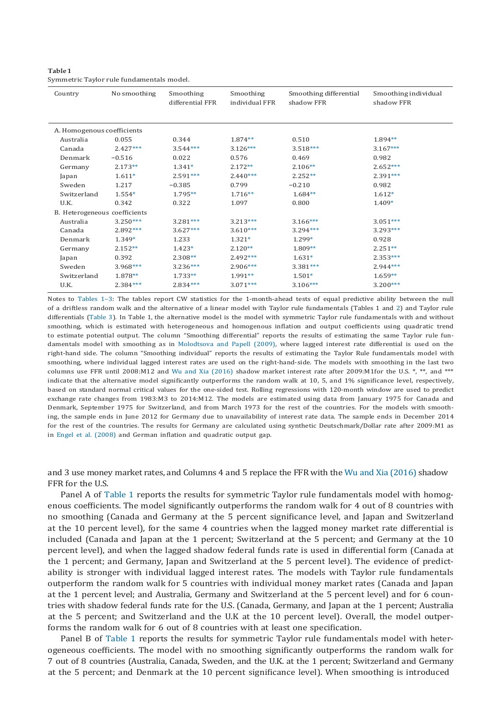<span id="page-12-1"></span><span id="page-12-0"></span>

| Table 1                                   |  |
|-------------------------------------------|--|
| Symmetric Taylor rule fundamentals model. |  |

| Country                       | No smoothing | Smoothing<br>differential FFR | Smoothing<br>individual FFR | Smoothing differential<br>shadow FFR | Smoothing individual<br>shadow FFR |  |  |  |  |
|-------------------------------|--------------|-------------------------------|-----------------------------|--------------------------------------|------------------------------------|--|--|--|--|
|                               |              |                               |                             |                                      |                                    |  |  |  |  |
| A. Homogenous coefficients    |              |                               |                             |                                      |                                    |  |  |  |  |
| Australia                     | 0.055        | 0.344                         | $1.874**$                   | 0.510                                | $1.894**$                          |  |  |  |  |
| Canada                        | $2.427***$   | $3.544***$                    | $3.126***$                  | $3.518***$                           | $3.167***$                         |  |  |  |  |
| Denmark                       | $-0.516$     | 0.022                         | 0.576                       | 0.469                                | 0.982                              |  |  |  |  |
| Germany                       | $2.173**$    | $1.341*$                      | $2.172**$                   | $2.106**$                            | $2.652***$                         |  |  |  |  |
| Japan                         | $1.611*$     | $2.591***$                    | $2.440***$                  | $2.252**$                            | $2.391***$                         |  |  |  |  |
| Sweden                        | 1.217        | $-0.385$                      | 0.799                       | $-0.210$                             | 0.982                              |  |  |  |  |
| Switzerland                   | $1.554*$     | $1.795**$                     | $1.716**$                   | $1.684**$                            | $1.612*$                           |  |  |  |  |
| U.K.                          | 0.342        | 0.322                         | 1.097                       | 0.800                                | $1.409*$                           |  |  |  |  |
| B. Heterogeneous coefficients |              |                               |                             |                                      |                                    |  |  |  |  |
| Australia                     | $3.250***$   | $3.281***$                    | $3.213***$                  | $3.166***$                           | $3.051***$                         |  |  |  |  |
| Canada                        | $2.892***$   | $3.627***$                    | $3.610***$                  | $3.294***$                           | $3.293***$                         |  |  |  |  |
| Denmark                       | $1.349*$     | 1.233                         | $1.321*$                    | $1.299*$                             | 0.928                              |  |  |  |  |
| Germany                       | $2.152**$    | $1.423*$                      | $2.120**$                   | $1.809**$                            | $2.251**$                          |  |  |  |  |
| Japan                         | 0.392        | $2.308**$                     | $2.492***$                  | $1.631*$                             | $2.353***$                         |  |  |  |  |
| Sweden                        | 3.968***     | $3.236***$                    | 2.906***                    | 3.381***                             | $2.944***$                         |  |  |  |  |
| Switzerland                   | $1.878**$    | $1.733**$                     | $1.991**$                   | $1.501*$                             | $1.659**$                          |  |  |  |  |
| U.K.                          | $2.384***$   | $2.834***$                    | $3.071***$                  | $3.106***$                           | $3.200***$                         |  |  |  |  |

Notes to [Tables 1–3:](#page-13-0) The tables report CW statistics for the 1-month-ahead tests of equal predictive ability between the null of a driftless random walk and the alternative of a linear model with Taylor rule fundamentals (Tables 1 and [2\)](#page-13-0) and Taylor rule differentials [\(Table 3\)](#page-14-0). In Table 1, the alternative model is the model with symmetric Taylor rule fundamentals with and without smoothing, which is estimated with heterogeneous and homogenous inflation and output coefficients using quadratic trend to estimate potential output. The column "Smoothing differential" reports the results of estimating the same Taylor rule fundamentals model with smoothing as in [Molodtsova](#page-25-8) and Papell (2009), where lagged interest rate differential is used on the right-hand side. The column "Smoothing individual" reports the results of estimating the Taylor Rule fundamentals model with smoothing, where individual lagged interest rates are used on the right-hand-side. The models with smoothing in the last two columns use FFR until 2008:M12 and [Wu and](#page-25-31) Xia (2016) shadow market interest rate after 2009:M1for the U.S.  $*, **$ , and  $***$ indicate that the alternative model significantly outperforms the random walk at 10, 5, and 1% significance level, respectively, based on standard normal critical values for the one-sided test. Rolling regressions with 120-month window are used to predict exchange rate changes from 1983:M3 to 2014:M12. The models are estimated using data from January 1975 for Canada and Denmark, September 1975 for Switzerland, and from March 1973 for the rest of the countries. For the models with smoothing, the sample ends in June 2012 for Germany due to unavailability of interest rate data. The sample ends in December 2014 for the rest of the countries. The results for Germany are calculated using synthetic Deutschmark/Dollar rate after 2009:M1 as in Engel et al. [\(2008\)](#page-25-0) and German inflation and quadratic output gap.

and 3 use money market rates, and Columns 4 and 5 replace the FFR with the Wu and Xia [\(2016\)](#page-25-31) shadow FFR for the U.S.

Panel A of [Table 1](#page-12-0) reports the results for symmetric Taylor rule fundamentals model with homogenous coefficients. The model significantly outperforms the random walk for 4 out of 8 countries with no smoothing (Canada and Germany at the 5 percent significance level, and Japan and Switzerland at the 10 percent level), for the same 4 countries when the lagged money market rate differential is included (Canada and Japan at the 1 percent; Switzerland at the 5 percent; and Germany at the 10 percent level), and when the lagged shadow federal funds rate is used in differential form (Canada at the 1 percent; and Germany, Japan and Switzerland at the 5 percent level). The evidence of predictability is stronger with individual lagged interest rates. The models with Taylor rule fundamentals outperform the random walk for 5 countries with individual money market rates (Canada and Japan at the 1 percent level; and Australia, Germany and Switzerland at the 5 percent level) and for 6 countries with shadow federal funds rate for the U.S. (Canada, Germany, and Japan at the 1 percent; Australia at the 5 percent; and Switzerland and the U.K at the 10 percent level). Overall, the model outperforms the random walk for 6 out of 8 countries with at least one specification.

Panel B of [Table 1](#page-12-0) reports the results for symmetric Taylor rule fundamentals model with heterogeneous coefficients. The model with no smoothing significantly outperforms the random walk for 7 out of 8 countries (Australia, Canada, Sweden, and the U.K. at the 1 percent; Switzerland and Germany at the 5 percent; and Denmark at the 10 percent significance level). When smoothing is introduced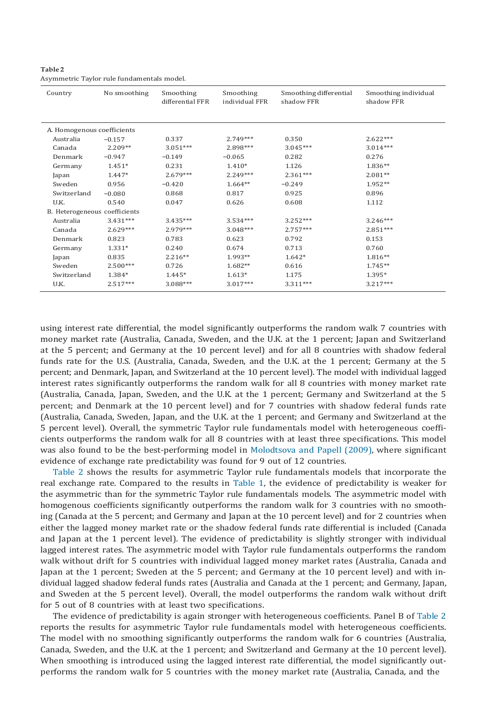<span id="page-13-0"></span>

| Table 2                                    |
|--------------------------------------------|
| Asymmetric Taylor rule fundamentals model. |

| Country                       | No smoothing | Smoothing<br>differential FFR | Smoothing<br>individual FFR | Smoothing differential<br>shadow FFR | Smoothing individual<br>shadow FFR |  |  |  |  |  |
|-------------------------------|--------------|-------------------------------|-----------------------------|--------------------------------------|------------------------------------|--|--|--|--|--|
|                               |              |                               |                             |                                      |                                    |  |  |  |  |  |
| A. Homogenous coefficients    |              |                               |                             |                                      |                                    |  |  |  |  |  |
| Australia                     | $-0.157$     | 0.337                         | $2.749***$                  | 0.350                                | $2.622***$                         |  |  |  |  |  |
| Canada                        | $2.209**$    | $3.051***$                    | 2.898***                    | $3.045***$                           | $3.014***$                         |  |  |  |  |  |
| Denmark                       | $-0.947$     | $-0.149$                      | $-0.065$                    | 0.282                                | 0.276                              |  |  |  |  |  |
| Germany                       | $1.451*$     | 0.231                         | $1.410*$                    | 1.126                                | 1.836**                            |  |  |  |  |  |
| Japan                         | $1.447*$     | $2.679***$                    | $2.249***$                  | $2.361***$                           | $2.081**$                          |  |  |  |  |  |
| Sweden                        | 0.956        | $-0.420$                      | $1.664**$                   | $-0.249$                             | $1.952**$                          |  |  |  |  |  |
| Switzerland                   | $-0.080$     | 0.868                         | 0.817                       | 0.925                                | 0.896                              |  |  |  |  |  |
| U.K.                          | 0.540        | 0.047                         | 0.626                       | 0.608                                | 1.112                              |  |  |  |  |  |
| B. Heterogeneous coefficients |              |                               |                             |                                      |                                    |  |  |  |  |  |
| Australia                     | $3.431***$   | $3.435***$                    | $3.534***$                  | $3.252***$                           | $3.246***$                         |  |  |  |  |  |
| Canada                        | $2.629***$   | 2.979***                      | $3.048***$                  | $2.757***$                           | 2.851***                           |  |  |  |  |  |
| Denmark                       | 0.823        | 0.783                         | 0.623                       | 0.792                                | 0.153                              |  |  |  |  |  |
| Germany                       | $1.331*$     | 0.240                         | 0.674                       | 0.713                                | 0.760                              |  |  |  |  |  |
| Japan                         | 0.835        | $2.216**$                     | 1.993**                     | $1.642*$                             | $1.816**$                          |  |  |  |  |  |
| Sweden                        | $2.500***$   | 0.726                         | $1.682**$                   | 0.616                                | $1.745**$                          |  |  |  |  |  |
| Switzerland                   | 1.384*       | 1.445*                        | $1.613*$                    | 1.175                                | 1.395*                             |  |  |  |  |  |
| U.K.                          | $2.517***$   | $3.088***$                    | $3.017***$                  | 3.311***                             | $3.217***$                         |  |  |  |  |  |

using interest rate differential, the model significantly outperforms the random walk 7 countries with money market rate (Australia, Canada, Sweden, and the U.K. at the 1 percent; Japan and Switzerland at the 5 percent; and Germany at the 10 percent level) and for all 8 countries with shadow federal funds rate for the U.S. (Australia, Canada, Sweden, and the U.K. at the 1 percent; Germany at the 5 percent; and Denmark, Japan, and Switzerland at the 10 percent level). The model with individual lagged interest rates significantly outperforms the random walk for all 8 countries with money market rate (Australia, Canada, Japan, Sweden, and the U.K. at the 1 percent; Germany and Switzerland at the 5 percent; and Denmark at the 10 percent level) and for 7 countries with shadow federal funds rate (Australia, Canada, Sweden, Japan, and the U.K. at the 1 percent; and Germany and Switzerland at the 5 percent level). Overall, the symmetric Taylor rule fundamentals model with heterogeneous coefficients outperforms the random walk for all 8 countries with at least three specifications. This model was also found to be the best-performing model in [Molodtsova](#page-25-8) and Papell (2009), where significant evidence of exchange rate predictability was found for 9 out of 12 countries.

[Table 2](#page-13-0) shows the results for asymmetric Taylor rule fundamentals models that incorporate the real exchange rate. Compared to the results in [Table 1,](#page-12-0) the evidence of predictability is weaker for the asymmetric than for the symmetric Taylor rule fundamentals models. The asymmetric model with homogenous coefficients significantly outperforms the random walk for 3 countries with no smoothing (Canada at the 5 percent; and Germany and Japan at the 10 percent level) and for 2 countries when either the lagged money market rate or the shadow federal funds rate differential is included (Canada and Japan at the 1 percent level). The evidence of predictability is slightly stronger with individual lagged interest rates. The asymmetric model with Taylor rule fundamentals outperforms the random walk without drift for 5 countries with individual lagged money market rates (Australia, Canada and Japan at the 1 percent; Sweden at the 5 percent; and Germany at the 10 percent level) and with individual lagged shadow federal funds rates (Australia and Canada at the 1 percent; and Germany, Japan, and Sweden at the 5 percent level). Overall, the model outperforms the random walk without drift for 5 out of 8 countries with at least two specifications.

The evidence of predictability is again stronger with heterogeneous coefficients. Panel B of [Table 2](#page-13-0) reports the results for asymmetric Taylor rule fundamentals model with heterogeneous coefficients. The model with no smoothing significantly outperforms the random walk for 6 countries (Australia, Canada, Sweden, and the U.K. at the 1 percent; and Switzerland and Germany at the 10 percent level). When smoothing is introduced using the lagged interest rate differential, the model significantly outperforms the random walk for 5 countries with the money market rate (Australia, Canada, and the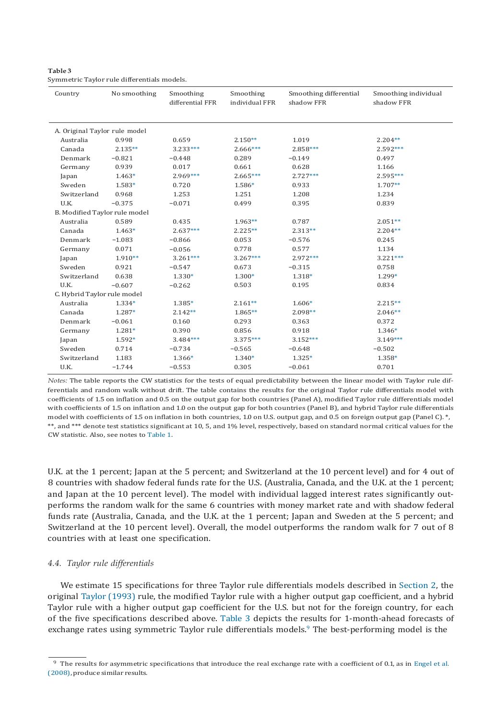<span id="page-14-0"></span>

| Table 3                                     |  |
|---------------------------------------------|--|
| Symmetric Taylor rule differentials models. |  |

| Country                       | No smoothing | Smoothing<br>differential FFR | Smoothing<br>Smoothing differential<br>individual FFR<br>shadow FFR |            | Smoothing individual<br>shadow FFR |  |  |  |  |  |
|-------------------------------|--------------|-------------------------------|---------------------------------------------------------------------|------------|------------------------------------|--|--|--|--|--|
|                               |              |                               |                                                                     |            |                                    |  |  |  |  |  |
| A. Original Taylor rule model |              |                               |                                                                     |            |                                    |  |  |  |  |  |
| Australia                     | 0.998        | 0.659                         | $2.150**$                                                           | 1.019      | $2.204**$                          |  |  |  |  |  |
| Canada                        | $2.135**$    | $3.233***$                    | 2.666***                                                            | 2.858***   | $2.592***$                         |  |  |  |  |  |
| Denmark                       | $-0.821$     | $-0.448$                      | 0.289                                                               | $-0.149$   | 0.497                              |  |  |  |  |  |
| Germany                       | 0.939        | 0.017                         | 0.661                                                               | 0.628      | 1.166                              |  |  |  |  |  |
| Japan                         | $1.463*$     | 2.969***                      | $2.665***$                                                          | $2.727***$ | $2.595***$                         |  |  |  |  |  |
| Sweden                        | $1.583*$     | 0.720                         | $1.586*$                                                            | 0.933      | $1.707**$                          |  |  |  |  |  |
| Switzerland                   | 0.968        | 1.253                         | 1.251                                                               | 1.208      | 1.234                              |  |  |  |  |  |
| U.K.                          | $-0.375$     | $-0.071$                      | 0.499                                                               | 0.395      | 0.839                              |  |  |  |  |  |
| B. Modified Taylor rule model |              |                               |                                                                     |            |                                    |  |  |  |  |  |
| Australia                     | 0.589        | 0.435                         | $1.963**$                                                           | 0.787      | $2.051**$                          |  |  |  |  |  |
| Canada                        | $1.463*$     | $2.637***$                    | $2.225**$                                                           | $2.313**$  | $2.204**$                          |  |  |  |  |  |
| Denmark                       | $-1.083$     | $-0.866$                      | 0.053                                                               | $-0.576$   | 0.245                              |  |  |  |  |  |
| Germany                       | 0.071        | $-0.056$                      | 0.778                                                               | 0.577      | 1.134                              |  |  |  |  |  |
| Japan                         | $1.910**$    | $3.261***$                    | $3.267***$                                                          | $2.972***$ | $3.221***$                         |  |  |  |  |  |
| Sweden                        | 0.921        | $-0.547$                      | 0.673                                                               | $-0.315$   | 0.758                              |  |  |  |  |  |
| Switzerland                   | 0.638        | $1.330*$                      | $1.300*$                                                            | 1.318*     | $1.299*$                           |  |  |  |  |  |
| U.K.                          | $-0.607$     | $-0.262$                      | 0.503                                                               | 0.195      | 0.834                              |  |  |  |  |  |
| C. Hybrid Taylor rule model   |              |                               |                                                                     |            |                                    |  |  |  |  |  |
| Australia                     | $1.334*$     | 1.385*                        | $2.161**$                                                           | $1.606*$   | $2.215**$                          |  |  |  |  |  |
| Canada                        | 1.287*       | $2.142**$                     | $1.865**$                                                           | $2.098**$  | $2.046**$                          |  |  |  |  |  |
| Denmark                       | $-0.061$     | 0.160                         | 0.293                                                               | 0.363      | 0.372                              |  |  |  |  |  |
| Germany                       | $1.281*$     | 0.390                         | 0.856                                                               | 0.918      | $1.346*$                           |  |  |  |  |  |
| Japan                         | $1.592*$     | $3.484***$                    | $3.375***$                                                          | $3.152***$ | $3.149***$                         |  |  |  |  |  |
| Sweden                        | 0.714        | $-0.734$                      | $-0.565$                                                            | $-0.648$   | $-0.502$                           |  |  |  |  |  |
| Switzerland                   | 1.183        | $1.366*$                      | $1.340*$                                                            | $1.325*$   | $1.358*$                           |  |  |  |  |  |
| U.K.                          | $-1.744$     | $-0.553$                      | 0.305                                                               | $-0.061$   | 0.701                              |  |  |  |  |  |

*Notes:* The table reports the CW statistics for the tests of equal predictability between the linear model with Taylor rule differentials and random walk without drift. The table contains the results for the original Taylor rule differentials model with coefficients of 1.5 on inflation and 0.5 on the output gap for both countries (Panel A), modified Taylor rule differentials model with coefficients of 1.5 on inflation and 1.0 on the output gap for both countries (Panel B), and hybrid Taylor rule differentials model with coefficients of 1.5 on inflation in both countries, 1.0 on U.S. output gap, and 0.5 on foreign output gap (Panel C). \*, \*\*, and \*\*\* denote test statistics significant at 10, 5, and 1% level, respectively, based on standard normal critical values for the CW statistic. Also, see notes to [Table 1.](#page-12-0)

U.K. at the 1 percent; Japan at the 5 percent; and Switzerland at the 10 percent level) and for 4 out of 8 countries with shadow federal funds rate for the U.S. (Australia, Canada, and the U.K. at the 1 percent; and Japan at the 10 percent level). The model with individual lagged interest rates significantly outperforms the random walk for the same 6 countries with money market rate and with shadow federal funds rate (Australia, Canada, and the U.K. at the 1 percent; Japan and Sweden at the 5 percent; and Switzerland at the 10 percent level). Overall, the model outperforms the random walk for 7 out of 8 countries with at least one specification.

### *4.4. Taylor rule differentials*

We estimate 15 specifications for three Taylor rule differentials models described in Section 2, the original Taylor [\(1993\)](#page-25-12) rule, the modified Taylor rule with a higher output gap coefficient, and a hybrid Taylor rule with a higher output gap coefficient for the U.S. but not for the foreign country, for each of the five specifications described above. [Table 3](#page-14-0) depicts the results for 1-month-ahead forecasts of exchange rates using symmetric Taylor rule differentials models.<sup>9</sup> The best-performing model is the

<span id="page-14-1"></span> $^9$  The results for asymmetric specifications that introduce the real exchange rate with a coefficient of 0.1, as in [Engel](#page-25-0) et al. [\(2008\),](#page-25-0) produce similar results.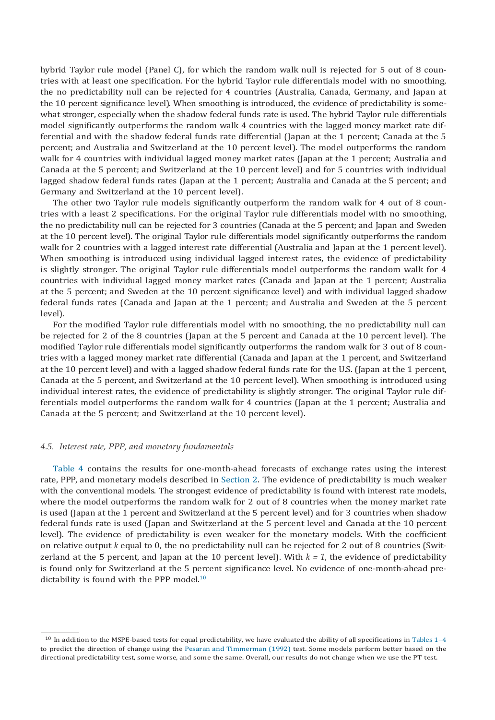hybrid Taylor rule model (Panel C), for which the random walk null is rejected for 5 out of 8 countries with at least one specification. For the hybrid Taylor rule differentials model with no smoothing, the no predictability null can be rejected for 4 countries (Australia, Canada, Germany, and Japan at the 10 percent significance level). When smoothing is introduced, the evidence of predictability is somewhat stronger, especially when the shadow federal funds rate is used. The hybrid Taylor rule differentials model significantly outperforms the random walk 4 countries with the lagged money market rate differential and with the shadow federal funds rate differential (Japan at the 1 percent; Canada at the 5 percent; and Australia and Switzerland at the 10 percent level). The model outperforms the random walk for 4 countries with individual lagged money market rates (Japan at the 1 percent; Australia and Canada at the 5 percent; and Switzerland at the 10 percent level) and for 5 countries with individual lagged shadow federal funds rates (Japan at the 1 percent; Australia and Canada at the 5 percent; and Germany and Switzerland at the 10 percent level).

The other two Taylor rule models significantly outperform the random walk for 4 out of 8 countries with a least 2 specifications. For the original Taylor rule differentials model with no smoothing, the no predictability null can be rejected for 3 countries (Canada at the 5 percent; and Japan and Sweden at the 10 percent level). The original Taylor rule differentials model significantly outperforms the random walk for 2 countries with a lagged interest rate differential (Australia and Japan at the 1 percent level). When smoothing is introduced using individual lagged interest rates, the evidence of predictability is slightly stronger. The original Taylor rule differentials model outperforms the random walk for 4 countries with individual lagged money market rates (Canada and Japan at the 1 percent; Australia at the 5 percent; and Sweden at the 10 percent significance level) and with individual lagged shadow federal funds rates (Canada and Japan at the 1 percent; and Australia and Sweden at the 5 percent level).

For the modified Taylor rule differentials model with no smoothing, the no predictability null can be rejected for 2 of the 8 countries (Japan at the 5 percent and Canada at the 10 percent level). The modified Taylor rule differentials model significantly outperforms the random walk for 3 out of 8 countries with a lagged money market rate differential (Canada and Japan at the 1 percent, and Switzerland at the 10 percent level) and with a lagged shadow federal funds rate for the U.S. (Japan at the 1 percent, Canada at the 5 percent, and Switzerland at the 10 percent level). When smoothing is introduced using individual interest rates, the evidence of predictability is slightly stronger. The original Taylor rule differentials model outperforms the random walk for 4 countries (Japan at the 1 percent; Australia and Canada at the 5 percent; and Switzerland at the 10 percent level).

#### *4.5. Interest rate, PPP, and monetary fundamentals*

[Table 4](#page-16-0) contains the results for one-month-ahead forecasts of exchange rates using the interest rate, PPP, and monetary models described in Section 2. The evidence of predictability is much weaker with the conventional models. The strongest evidence of predictability is found with interest rate models, where the model outperforms the random walk for 2 out of 8 countries when the money market rate is used (Japan at the 1 percent and Switzerland at the 5 percent level) and for 3 countries when shadow federal funds rate is used (Japan and Switzerland at the 5 percent level and Canada at the 10 percent level). The evidence of predictability is even weaker for the monetary models. With the coefficient on relative output *k* equal to 0, the no predictability null can be rejected for 2 out of 8 countries (Switzerland at the 5 percent, and Japan at the 10 percent level). With  $k = 1$ , the evidence of predictability is found only for Switzerland at the 5 percent significance level. No evidence of one-month-ahead predictability is found with the PPP model.<sup>10</sup>

<span id="page-15-0"></span> $10$  In addition to the MSPE-based tests for equal predictability, we have evaluated the ability of all specifications in Tables  $1-4$ to predict the direction of change using the Pesaran and [Timmerman](#page-25-27) (1992) test. Some models perform better based on the directional predictability test, some worse, and some the same. Overall, our results do not change when we use the PT test.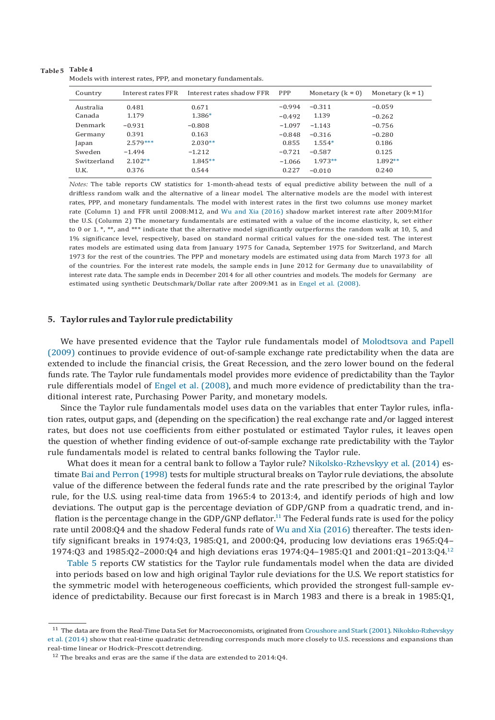#### <span id="page-16-0"></span>**Table 5 Table 4**

| Models with interest rates, PPP, and monetary fundamentals. |  |
|-------------------------------------------------------------|--|
|-------------------------------------------------------------|--|

| Country     | Interest rates FFR | Interest rates shadow FFR | PPP      | Monetary $(k = 0)$ | Monetary $(k = 1)$ |
|-------------|--------------------|---------------------------|----------|--------------------|--------------------|
| Australia   | 0.481              | 0.671                     | $-0.994$ | $-0.311$           | $-0.059$           |
| Canada      | 1.179              | $1.386*$                  | $-0.492$ | 1.139              | $-0.262$           |
| Denmark     | $-0.931$           | $-0.808$                  | $-1.097$ | $-1.143$           | $-0.756$           |
| Germany     | 0.391              | 0.163                     | $-0.848$ | $-0.316$           | $-0.280$           |
| Japan       | $2.579***$         | $2.030**$                 | 0.855    | $1.554*$           | 0.186              |
| Sweden      | $-1.494$           | $-1.212$                  | $-0.721$ | $-0.587$           | 0.125              |
| Switzerland | $2.102**$          | $1.845**$                 | $-1.066$ | $1.973**$          | $1.892**$          |
| U.K.        | 0.376              | 0.544                     | 0.227    | $-0.010$           | 0.240              |

*Notes:* The table reports CW statistics for 1-month-ahead tests of equal predictive ability between the null of a driftless random walk and the alternative of a linear model. The alternative models are the model with interest rates, PPP, and monetary fundamentals. The model with interest rates in the first two columns use money market rate (Column 1) and FFR until 2008:M12, and [Wu and](#page-25-31) Xia (2016) shadow market interest rate after 2009:M1for the U.S. (Column 2) The monetary fundamentals are estimated with a value of the income elasticity, k, set either to 0 or 1.  $*, **$ , and  $***$  indicate that the alternative model significantly outperforms the random walk at 10, 5, and 1% significance level, respectively, based on standard normal critical values for the one-sided test. The interest rates models are estimated using data from January 1975 for Canada, September 1975 for Switzerland, and March 1973 for the rest of the countries. The PPP and monetary models are estimated using data from March 1973 for all of the countries. For the interest rate models, the sample ends in June 2012 for Germany due to unavailability of interest rate data. The sample ends in December 2014 for all other countries and models. The models for Germany are estimated using synthetic Deutschmark/Dollar rate after 2009:M1 as in Engel et al. [\(2008\).](#page-25-0)

#### **5. Taylorrules and Taylorrule predictability**

We have presented evidence that the Taylor rule fundamentals model of [Molodtsova](#page-25-8) and Papell [\(2009\)](#page-25-8) continues to provide evidence of out-of-sample exchange rate predictability when the data are extended to include the financial crisis, the Great Recession, and the zero lower bound on the federal funds rate. The Taylor rule fundamentals model provides more evidence of predictability than the Taylor rule differentials model of Engel et al. [\(2008\),](#page-25-0) and much more evidence of predictability than the traditional interest rate, Purchasing Power Parity, and monetary models.

Since the Taylor rule fundamentals model uses data on the variables that enter Taylor rules, inflation rates, output gaps, and (depending on the specification) the real exchange rate and/or lagged interest rates, but does not use coefficients from either postulated or estimated Taylor rules, it leaves open the question of whether finding evidence of out-of-sample exchange rate predictability with the Taylor rule fundamentals model is related to central banks following the Taylor rule.

What does it mean for a central bank to follow a Taylor rule? [Nikolsko-Rzhevskyy](#page-25-14) et al. (2014) estimate Bai [and Perron](#page-25-32) (1998) tests for multiple structural breaks on Taylor rule deviations, the absolute value of the difference between the federal funds rate and the rate prescribed by the original Taylor rule, for the U.S. using real-time data from 1965:4 to 2013:4, and identify periods of high and low deviations. The output gap is the percentage deviation of GDP/GNP from a quadratic trend, and inflation is the percentage change in the  $\text{GDP/GNP}$  deflator.<sup>[11](#page-16-1)</sup> The Federal funds rate is used for the policy rate until 2008:Q4 and the shadow Federal funds rate of Wu and Xia [\(2016\)](#page-25-31) thereafter. The tests identify significant breaks in 1974:Q3, 1985:Q1, and 2000:Q4, producing low deviations eras 1965:Q4– 1974:Q3 and 1985:Q2-2000:Q4 and high deviations eras 1974:Q4-1985:Q1 and 2001:Q1-2013:Q4.<sup>[12](#page-16-2)</sup>

[Table 5](#page-17-0) reports CW statistics for the Taylor rule fundamentals model when the data are divided into periods based on low and high original Taylor rule deviations for the U.S. We report statistics for the symmetric model with heterogeneous coefficients, which provided the strongest full-sample evidence of predictability. Because our first forecast is in March 1983 and there is a break in 1985:Q1,

<span id="page-16-1"></span><sup>&</sup>lt;sup>11</sup> The data are from the Real-Time Data Set for Macroeconomists, originated from [Croushore and Stark](#page-25-33) (2001)[. Nikolsko-Rzhevskyy](#page-25-14) [et al. \(2014\)](#page-25-14) show that real-time quadratic detrending corresponds much more closely to U.S. recessions and expansions than real-time linear or Hodrick–Prescott detrending.

<span id="page-16-2"></span><sup>12</sup> The breaks and eras are the same if the data are extended to 2014:Q4.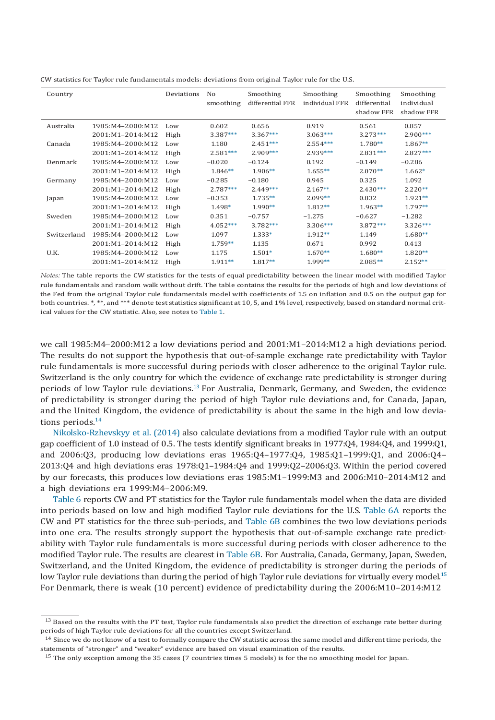| Country     |                  | Deviations | No<br>smoothing | Smoothing<br>differential FFR | Smoothing<br>individual FFR | Smoothing<br>differential<br>shadow FFR | Smoothing<br>individual<br>shadow FFR |
|-------------|------------------|------------|-----------------|-------------------------------|-----------------------------|-----------------------------------------|---------------------------------------|
| Australia   | 1985:M4-2000:M12 | Low        | 0.602           | 0.656                         | 0.919                       | 0.561                                   | 0.857                                 |
|             | 2001:M1-2014:M12 | High       | $3.387***$      | $3.367***$                    | $3.063***$                  | $3.273***$                              | $2.900***$                            |
| Canada      | 1985:M4-2000:M12 | Low        | 1.180           | $2.451***$                    | $2.554***$                  | $1.780**$                               | $1.867**$                             |
|             | 2001:M1-2014:M12 | High       | $2.581***$      | $2.909***$                    | $2.939***$                  | $2.831***$                              | $2.827***$                            |
| Denmark     | 1985:M4-2000:M12 | Low        | $-0.020$        | $-0.124$                      | 0.192                       | $-0.149$                                | $-0.286$                              |
|             | 2001:M1-2014:M12 | High       | $1.846**$       | $1.906**$                     | $1.655**$                   | $2.070**$                               | $1.662*$                              |
| Germany     | 1985:M4-2000:M12 | Low        | $-0.285$        | $-0.180$                      | 0.945                       | 0.325                                   | 1.092                                 |
|             | 2001:M1-2014:M12 | High       | $2.787***$      | $2.449***$                    | $2.167**$                   | $2.430***$                              | $2.220**$                             |
| Japan       | 1985:M4-2000:M12 | Low        | $-0.353$        | $1.735**$                     | $2.099**$                   | 0.832                                   | $1.921**$                             |
|             | 2001:M1-2014:M12 | High       | 1.498*          | $1.990**$                     | $1.812**$                   | $1.963**$                               | $1.797**$                             |
| Sweden      | 1985:M4-2000:M12 | Low        | 0.351           | $-0.757$                      | $-1.275$                    | $-0.627$                                | $-1.282$                              |
|             | 2001:M1-2014:M12 | High       | $4.052***$      | $3.782***$                    | $3.306***$                  | $3.872***$                              | $3.326***$                            |
| Switzerland | 1985:M4-2000:M12 | Low        | 1.097           | $1.333*$                      | $1.912**$                   | 1.149                                   | $1.680**$                             |
|             | 2001:M1-2014:M12 | High       | $1.759**$       | 1.135                         | 0.671                       | 0.992                                   | 0.413                                 |
| U.K.        | 1985:M4-2000:M12 | Low        | 1.175           | $1.501*$                      | $1.670**$                   | $1.680**$                               | $1.820**$                             |
|             | 2001:M1-2014:M12 | High       | $1.911**$       | $1.817**$                     | $1.999**$                   | $2.085**$                               | $2.152**$                             |

<span id="page-17-0"></span>CW statistics for Taylor rule fundamentals models: deviations from original Taylor rule for the U.S.

*Notes:* The table reports the CW statistics for the tests of equal predictability between the linear model with modified Taylor rule fundamentals and random walk without drift. The table contains the results for the periods of high and low deviations of the Fed from the original Taylor rule fundamentals model with coefficients of 1.5 on inflation and 0.5 on the output gap for both countries. \*, \*\*, and \*\*\* denote test statistics significant at 10, 5, and 1% level, respectively, based on standard normal critical values for the CW statistic. Also, see notes to [Table 1.](#page-12-0)

we call 1985:M4–2000:M12 a low deviations period and 2001:M1–2014:M12 a high deviations period. The results do not support the hypothesis that out-of-sample exchange rate predictability with Taylor rule fundamentals is more successful during periods with closer adherence to the original Taylor rule. Switzerland is the only country for which the evidence of exchange rate predictability is stronger during periods of low Taylor rule deviation[s.13](#page-17-1) For Australia, Denmark, Germany, and Sweden, the evidence of predictability is stronger during the period of high Taylor rule deviations and, for Canada, Japan, and the United Kingdom, the evidence of predictability is about the same in the high and low deviations periods.<sup>14</sup>

[Nikolsko-Rzhevskyy](#page-25-14) et al. (2014) also calculate deviations from a modified Taylor rule with an output gap coefficient of 1.0 instead of 0.5. The tests identify significant breaks in 1977:Q4, 1984:Q4, and 1999:Q1, and 2006:Q3, producing low deviations eras 1965:Q4–1977:Q4, 1985:Q1–1999:Q1, and 2006:Q4– 2013:Q4 and high deviations eras 1978:Q1–1984:Q4 and 1999:Q2–2006:Q3. Within the period covered by our forecasts, this produces low deviations eras 1985:M1–1999:M3 and 2006:M10–2014:M12 and a high deviations era 1999:M4–2006:M9.

[Table 6](#page-18-0) reports CW and PT statistics for the Taylor rule fundamentals model when the data are divided into periods based on low and high modified Taylor rule deviations for the U.S. [Table](#page-18-0) 6A reports the CW and PT statistics for the three sub-periods, and [Table](#page-18-0) 6B combines the two low deviations periods into one era. The results strongly support the hypothesis that out-of-sample exchange rate predictability with Taylor rule fundamentals is more successful during periods with closer adherence to the modified Taylor rule. The results are clearest i[n Table](#page-18-0) 6B. For Australia, Canada, Germany, Japan, Sweden, Switzerland, and the United Kingdom, the evidence of predictability is stronger during the periods of low Taylor rule deviations than during the period of high Taylor rule deviations for virtually every model.<sup>15</sup> For Denmark, there is weak (10 percent) evidence of predictability during the 2006:M10–2014:M12

<span id="page-17-2"></span><span id="page-17-1"></span><sup>&</sup>lt;sup>13</sup> Based on the results with the PT test, Taylor rule fundamentals also predict the direction of exchange rate better during periods of high Taylor rule deviations for all the countries except Switzerland.

<span id="page-17-3"></span><sup>&</sup>lt;sup>14</sup> Since we do not know of a test to formally compare the CW statistic across the same model and different time periods, the statements of "stronger" and "weaker" evidence are based on visual examination of the results.

<sup>&</sup>lt;sup>15</sup> The only exception among the 35 cases (7 countries times 5 models) is for the no smoothing model for Japan.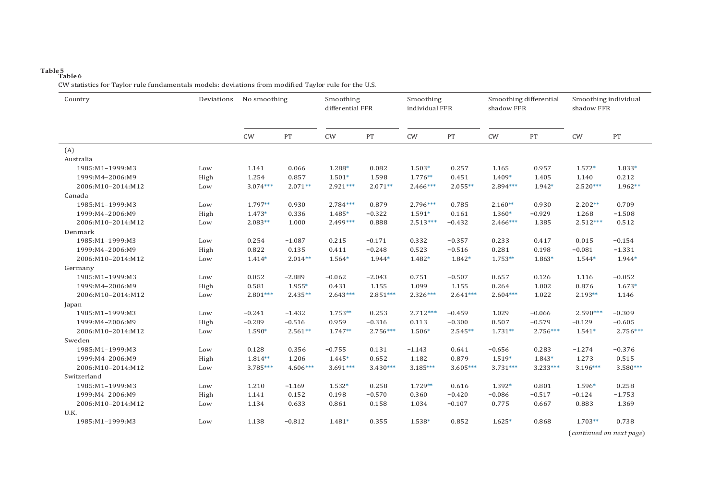## **Table 5 Table 6**

CW statistics for Taylor rule fundamentals models: deviations from modified Taylor rule for the U.S.

<span id="page-18-0"></span>

| Country           | Deviations | No smoothing |            | Smoothing<br>differential FFR |            | Smoothing<br>individual FFR |            | Smoothing differential<br>shadow FFR |                            | Smoothing individual<br>shadow FFR |            |
|-------------------|------------|--------------|------------|-------------------------------|------------|-----------------------------|------------|--------------------------------------|----------------------------|------------------------------------|------------|
|                   |            | CW           | PT         | CW                            | PT         | CW                          | PT         | CW                                   | $\ensuremath{\mathsf{PT}}$ | CW                                 | PT         |
| (A)               |            |              |            |                               |            |                             |            |                                      |                            |                                    |            |
| Australia         |            |              |            |                               |            |                             |            |                                      |                            |                                    |            |
| 1985:M1-1999:M3   | Low        | 1.141        | 0.066      | 1.288*                        | 0.082      | $1.503*$                    | 0.257      | 1.165                                | 0.957                      | $1.572*$                           | 1.833*     |
| 1999:M4-2006:M9   | High       | 1.254        | 0.857      | $1.501*$                      | 1.598      | $1.776**$                   | 0.451      | $1.409*$                             | 1.405                      | 1.140                              | 0.212      |
| 2006:M10-2014:M12 | Low        | $3.074***$   | $2.071**$  | $2.921***$                    | $2.071**$  | $2.466***$                  | $2.055***$ | $2.894***$                           | $1.942*$                   | $2.520***$                         | $1.962**$  |
| Canada            |            |              |            |                               |            |                             |            |                                      |                            |                                    |            |
| 1985:M1-1999:M3   | Low        | $1.797**$    | 0.930      | $2.784***$                    | 0.879      | $2.796***$                  | 0.785      | $2.160**$                            | 0.930                      | $2.202**$                          | 0.709      |
| 1999:M4-2006:M9   | High       | $1.473*$     | 0.336      | 1.485*                        | $-0.322$   | $1.591*$                    | 0.161      | 1.360*                               | $-0.929$                   | 1.268                              | $-1.508$   |
| 2006:M10-2014:M12 | Low        | $2.083**$    | 1.000      | $2.499***$                    | 0.888      | $2.513***$                  | $-0.432$   | $2.466***$                           | 1.385                      | $2.512***$                         | 0.512      |
| Denmark           |            |              |            |                               |            |                             |            |                                      |                            |                                    |            |
| 1985:M1-1999:M3   | Low        | 0.254        | $-1.087$   | 0.215                         | $-0.171$   | 0.332                       | $-0.357$   | 0.233                                | 0.417                      | 0.015                              | $-0.154$   |
| 1999:M4-2006:M9   | High       | 0.822        | 0.135      | 0.411                         | $-0.248$   | 0.523                       | $-0.516$   | 0.281                                | 0.198                      | $-0.081$                           | $-1.331$   |
| 2006:M10-2014:M12 | Low        | $1.414*$     | $2.014**$  | $1.564*$                      | $1.944*$   | 1.482*                      | $1.842*$   | $1.753**$                            | $1.863*$                   | $1.544*$                           | $1.944*$   |
| Germany           |            |              |            |                               |            |                             |            |                                      |                            |                                    |            |
| 1985:M1-1999:M3   | Low        | 0.052        | $-2.889$   | $-0.062$                      | $-2.043$   | 0.751                       | $-0.507$   | 0.657                                | 0.126                      | 1.116                              | $-0.052$   |
| 1999:M4-2006:M9   | High       | 0.581        | 1.955*     | 0.431                         | 1.155      | 1.099                       | 1.155      | 0.264                                | 1.002                      | 0.876                              | $1.673*$   |
| 2006:M10-2014:M12 | Low        | $2.801***$   | $2.435**$  | $2.643***$                    | $2.851***$ | $2.326***$                  | $2.641***$ | $2.604***$                           | 1.022                      | $2.193**$                          | 1.146      |
| Japan             |            |              |            |                               |            |                             |            |                                      |                            |                                    |            |
| 1985:M1-1999:M3   | Low        | $-0.241$     | $-1.432$   | $1.753**$                     | 0.253      | $2.712***$                  | $-0.459$   | 1.029                                | $-0.066$                   | $2.590***$                         | $-0.309$   |
| 1999:M4-2006:M9   | High       | $-0.289$     | $-0.516$   | 0.959                         | $-0.316$   | 0.113                       | $-0.300$   | 0.507                                | $-0.579$                   | $-0.129$                           | $-0.605$   |
| 2006:M10-2014:M12 | Low        | 1.590*       | $2.561**$  | $1.747**$                     | 2.756***   | $1.506*$                    | $2.545**$  | $1.731**$                            | $2.756***$                 | $1.541*$                           | $2.756***$ |
| Sweden            |            |              |            |                               |            |                             |            |                                      |                            |                                    |            |
| 1985:M1-1999:M3   | Low        | 0.128        | 0.356      | $-0.755$                      | 0.131      | $-1.143$                    | 0.641      | $-0.656$                             | 0.283                      | $-1.274$                           | $-0.376$   |
| 1999:M4-2006:M9   | High       | $1.814**$    | 1.206      | $1.445*$                      | 0.652      | 1.182                       | 0.879      | $1.519*$                             | $1.843*$                   | 1.273                              | 0.515      |
| 2006:M10-2014:M12 | Low        | 3.785***     | $4.606***$ | $3.691***$                    | $3.430***$ | $3.185***$                  | $3.605***$ | $3.731***$                           | $3.233***$                 | $3.196***$                         | $3.580***$ |
| Switzerland       |            |              |            |                               |            |                             |            |                                      |                            |                                    |            |
| 1985:M1-1999:M3   | Low        | 1.210        | $-1.169$   | $1.532*$                      | 0.258      | $1.729**$                   | 0.616      | $1.392*$                             | 0.801                      | $1.596*$                           | 0.258      |
| 1999:M4-2006:M9   | High       | 1.141        | 0.152      | 0.198                         | $-0.570$   | 0.360                       | $-0.420$   | $-0.086$                             | $-0.517$                   | $-0.124$                           | $-1.753$   |
| 2006:M10-2014:M12 | Low        | 1.134        | 0.633      | 0.861                         | 0.158      | 1.034                       | $-0.107$   | 0.775                                | 0.667                      | 0.883                              | 1.369      |
| U.K.              |            |              |            |                               |            |                             |            |                                      |                            |                                    |            |
| 1985:M1-1999:M3   | Low        | 1.138        | $-0.812$   | $1.481*$                      | 0.355      | $1.538*$                    | 0.852      | $1.625*$                             | 0.868                      | $1.703**$                          | 0.738      |

(*continued on next page*)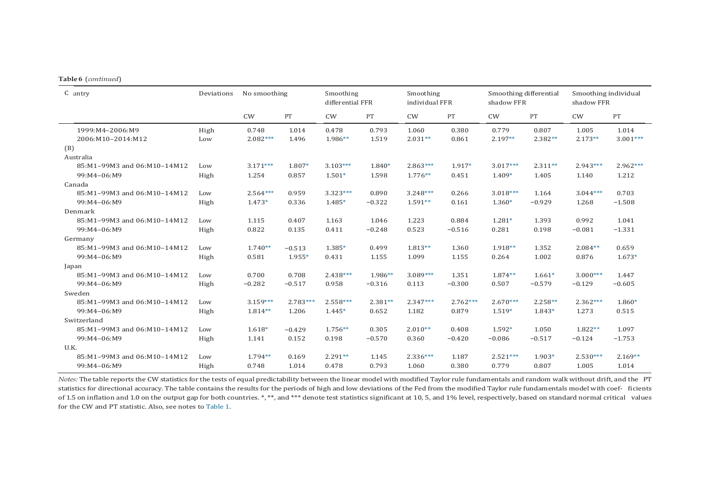#### **Table 6** (*continued*)

| $C$ untry                   | Deviations | No smoothing |            | Smoothing<br>differential FFR |           | Smoothing<br>individual FFR |            | Smoothing differential<br>shadow FFR |           | Smoothing individual<br>shadow FFR |            |
|-----------------------------|------------|--------------|------------|-------------------------------|-----------|-----------------------------|------------|--------------------------------------|-----------|------------------------------------|------------|
|                             |            | CW           | PT         | CW                            | PT        | CW                          | PT         | CW                                   | PT        | CW                                 | PT         |
| 1999:M4-2006:M9             | High       | 0.748        | 1.014      | 0.478                         | 0.793     | 1.060                       | 0.380      | 0.779                                | 0.807     | 1.005                              | 1.014      |
| 2006:M10-2014:M12           | Low        | $2.082***$   | 1.496      | $1.986**$                     | 1.519     | $2.031**$                   | 0.861      | $2.197**$                            | $2.382**$ | $2.173**$                          | $3.001***$ |
| (B)                         |            |              |            |                               |           |                             |            |                                      |           |                                    |            |
| Australia                   |            |              |            |                               |           |                             |            |                                      |           |                                    |            |
| 85:M1-99M3 and 06:M10-14M12 | Low        | $3.171***$   | 1.807*     | $3.103***$                    | $1.840*$  | $2.863***$                  | $1.917*$   | $3.017***$                           | $2.311**$ | $2.943***$                         | $2.962***$ |
| 99:M4-06:M9                 | High       | 1.254        | 0.857      | $1.501*$                      | 1.598     | $1.776**$                   | 0.451      | $1.409*$                             | 1.405     | 1.140                              | 1.212      |
| Canada                      |            |              |            |                               |           |                             |            |                                      |           |                                    |            |
| 85:M1-99M3 and 06:M10-14M12 | Low        | $2.564***$   | 0.959      | $3.323***$                    | 0.890     | $3.248***$                  | 0.266      | $3.018***$                           | 1.164     | $3.044***$                         | 0.703      |
| 99:M4-06:M9                 | High       | $1.473*$     | 0.336      | 1.485*                        | $-0.322$  | $1.591**$                   | 0.161      | $1.360*$                             | $-0.929$  | 1.268                              | $-1.508$   |
| Denmark                     |            |              |            |                               |           |                             |            |                                      |           |                                    |            |
| 85:M1-99M3 and 06:M10-14M12 | Low        | 1.115        | 0.407      | 1.163                         | 1.046     | 1.223                       | 0.884      | $1.281*$                             | 1.393     | 0.992                              | 1.041      |
| 99:M4-06:M9                 | High       | 0.822        | 0.135      | 0.411                         | $-0.248$  | 0.523                       | $-0.516$   | 0.281                                | 0.198     | $-0.081$                           | $-1.331$   |
| Germany                     |            |              |            |                               |           |                             |            |                                      |           |                                    |            |
| 85:M1-99M3 and 06:M10-14M12 | Low        | $1.740**$    | $-0.513$   | $1.385*$                      | 0.499     | $1.813**$                   | 1.360      | $1.918**$                            | 1.352     | $2.084**$                          | 0.659      |
| 99:M4-06:M9                 | High       | 0.581        | $1.955*$   | 0.431                         | 1.155     | 1.099                       | 1.155      | 0.264                                | 1.002     | 0.876                              | $1.673*$   |
| Japan                       |            |              |            |                               |           |                             |            |                                      |           |                                    |            |
| 85:M1-99M3 and 06:M10-14M12 | Low        | 0.700        | 0.708      | $2.438***$                    | $1.986**$ | $3.089***$                  | 1.351      | $1.874**$                            | $1.661*$  | $3.000***$                         | 1.447      |
| 99:M4-06:M9                 | High       | $-0.282$     | $-0.517$   | 0.958                         | $-0.316$  | 0.113                       | $-0.300$   | 0.507                                | $-0.579$  | $-0.129$                           | $-0.605$   |
| Sweden                      |            |              |            |                               |           |                             |            |                                      |           |                                    |            |
| 85:M1-99M3 and 06:M10-14M12 | Low        | $3.159***$   | $2.783***$ | $2.558***$                    | $2.381**$ | $2.347***$                  | $2.762***$ | $2.670***$                           | $2.258**$ | $2.362***$                         | 1.860*     |
| 99:M4-06:M9                 | High       | $1.814**$    | 1.206      | $1.445*$                      | 0.652     | 1.182                       | 0.879      | $1.519*$                             | $1.843*$  | 1.273                              | 0.515      |
| Switzerland                 |            |              |            |                               |           |                             |            |                                      |           |                                    |            |
| 85:M1-99M3 and 06:M10-14M12 | Low        | $1.618*$     | $-0.429$   | $1.756**$                     | 0.305     | $2.010**$                   | 0.408      | $1.592*$                             | 1.050     | $1.822**$                          | 1.097      |
| 99:M4-06:M9                 | High       | 1.141        | 0.152      | 0.198                         | $-0.570$  | 0.360                       | $-0.420$   | $-0.086$                             | $-0.517$  | $-0.124$                           | $-1.753$   |
| U.K.                        |            |              |            |                               |           |                             |            |                                      |           |                                    |            |
| 85:M1-99M3 and 06:M10-14M12 | Low        | $1.794**$    | 0.169      | $2.291**$                     | 1.145     | $2.336***$                  | 1.187      | $2.521***$                           | $1.903*$  | $2.530***$                         | $2.169**$  |
| 99:M4-06:M9                 | High       | 0.748        | 1.014      | 0.478                         | 0.793     | 1.060                       | 0.380      | 0.779                                | 0.807     | 1.005                              | 1.014      |

*Notes:* The table reports the CW statistics for the tests of equal predictability between the linear model with modified Taylor rule fundamentals and random walk without drift, and the PT statistics for directional accuracy. The table contains the results for the periods of high and low deviations of the Fed from the modified Taylor rule fundamentals model with coef- ficients of 1.5 on inflation and 1.0 on the output gap for both countries. \*,\*\*, and \*\*\* denote test statistics significant at 10, 5, and 1% level, respectively, based on standard normal critical values for the CW and PT statistic. Also, see notes to [Table 1.](#page-12-1)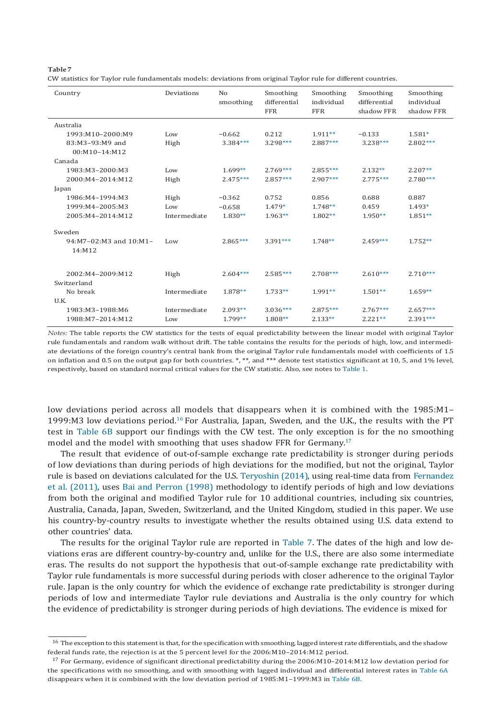<span id="page-20-2"></span>

|--|--|

CW statistics for Taylor rule fundamentals models: deviations from original Taylor rule for different countries.

| Country                          | Deviations   | No<br>smoothing | Smoothing<br>differential<br><b>FFR</b> | Smoothing<br>individual<br><b>FFR</b> | Smoothing<br>differential<br>shadow FFR | Smoothing<br>individual<br>shadow FFR |
|----------------------------------|--------------|-----------------|-----------------------------------------|---------------------------------------|-----------------------------------------|---------------------------------------|
| Australia                        |              |                 |                                         |                                       |                                         |                                       |
| 1993:M10-2000:M9                 | Low          | $-0.662$        | 0.212                                   | $1.911**$                             | $-0.133$                                | $1.581*$                              |
| 83:M3-93:M9 and                  | High         | $3.384***$      | 3.298***                                | $2.887***$                            | 3.238***                                | $2.802***$                            |
| $00: M10 - 14: M12$              |              |                 |                                         |                                       |                                         |                                       |
| Canada                           |              |                 |                                         |                                       |                                         |                                       |
| 1983: M3-2000: M3                | Low          | $1.699**$       | $2.769***$                              | 2.855***                              | $2.132**$                               | $2.207**$                             |
| 2000:M4-2014:M12                 | High         | $2.475***$      | $2.857***$                              | $2.907***$                            | $2.775***$                              | $2.780***$                            |
| Japan                            |              |                 |                                         |                                       |                                         |                                       |
| 1986:M4-1994:M3                  | High         | $-0.362$        | 0.752                                   | 0.856                                 | 0.688                                   | 0.887                                 |
| 1999:M4-2005:M3                  | Low          | $-0.658$        | $1.479*$                                | $1.748**$                             | 0.459                                   | $1.493*$                              |
| 2005:M4-2014:M12                 | Intermediate | $1.830**$       | $1.963**$                               | $1.802**$                             | $1.950**$                               | $1.851**$                             |
| Sweden                           |              |                 |                                         |                                       |                                         |                                       |
| $94: M7 - 02: M3$ and $10: M1 -$ | Low          | $2.865***$      | $3.391***$                              | $1.748**$                             | $2.459***$                              | $1.752**$                             |
| 14:M12                           |              |                 |                                         |                                       |                                         |                                       |
|                                  |              |                 |                                         |                                       |                                         |                                       |
| 2002:M4-2009:M12                 | High         | $2.604***$      | $2.585***$                              | $2.708***$                            | $2.610***$                              | $2.710***$                            |
| Switzerland                      |              |                 |                                         |                                       |                                         |                                       |
| No break                         | Intermediate | $1.878**$       | $1.733**$                               | 1.991**                               | $1.501**$                               | $1.659**$                             |
| U.K.                             |              |                 |                                         |                                       |                                         |                                       |
| 1983:M3-1988:M6                  | Intermediate | $2.093**$       | $3.036***$                              | 2.875***                              | $2.767***$                              | $2.657***$                            |
| 1988: M7-2014: M12               | Low          | $1.799**$       | $1.808**$                               | $2.133**$                             | $2.221**$                               | $2.391***$                            |
|                                  |              |                 |                                         |                                       |                                         |                                       |

*Notes:* The table reports the CW statistics for the tests of equal predictability between the linear model with original Taylor rule fundamentals and random walk without drift. The table contains the results for the periods of high, low, and intermediate deviations of the foreign country's central bank from the original Taylor rule fundamentals model with coefficients of 1.5 on inflation and 0.5 on the output gap for both countries.  $*, **$ , and  $***$  denote test statistics significant at 10, 5, and 1% level, respectively, based on standard normal critical values for the CW statistic. Also, see notes to [Table 1.](#page-12-0)

low deviations period across all models that disappears when it is combined with the 1985:M1– 1999:M3 low deviations period.[16](#page-20-0) For Australia, Japan, Sweden, and the U.K., the results with the PT test in [Table](#page-18-0) 6B support our findings with the CW test. The only exception is for the no smoothing model and the model with smoothing that uses shadow FFR for Germany.<sup>17</sup>

The result that evidence of out-of-sample exchange rate predictability is stronger during periods of low deviations than during periods of high deviations for the modified, but not the original, Taylor rule is based on deviations calculated for the U.S. [Teryoshin](#page-25-15) (2014), using real-time data from [Fernandez](#page-25-34) et al. [\(2011\),](#page-25-34) uses Bai [and Perron](#page-25-32) (1998) methodology to identify periods of high and low deviations from both the original and modified Taylor rule for 10 additional countries, including six countries, Australia, Canada, Japan, Sweden, Switzerland, and the United Kingdom, studied in this paper. We use his country-by-country results to investigate whether the results obtained using U.S. data extend to other countries' data.

The results for the original Taylor rule are reported in [Table 7.](#page-20-2) The dates of the high and low deviations eras are different country-by-country and, unlike for the U.S., there are also some intermediate eras. The results do not support the hypothesis that out-of-sample exchange rate predictability with Taylor rule fundamentals is more successful during periods with closer adherence to the original Taylor rule. Japan is the only country for which the evidence of exchange rate predictability is stronger during periods of low and intermediate Taylor rule deviations and Australia is the only country for which the evidence of predictability is stronger during periods of high deviations. The evidence is mixed for

<span id="page-20-1"></span><span id="page-20-0"></span><sup>&</sup>lt;sup>16</sup> The exception to this statement is that, for the specification with smoothing, lagged interest rate differentials, and the shadow federal funds rate, the rejection is at the 5 percent level for the 2006:M10–2014:M12 period.

<sup>17</sup> For Germany, evidence of significant directional predictability during the 2006:M10–2014:M12 low deviation period for the specifications with no smoothing, and with smoothing with lagged individual and differential interest rates in [Table](#page-18-0) 6A disappears when it is combined with the low deviation period of 1985:M1–1999:M3 in [Table](#page-18-0) 6B.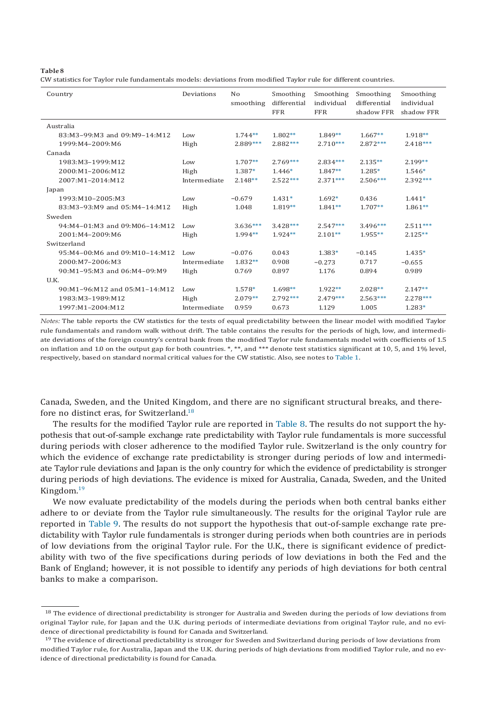#### **Table 8**

<span id="page-21-1"></span>CW statistics for Taylor rule fundamentals models: deviations from modified Taylor rule for different countries.

| Country                       | Deviations   | No<br>smoothing | Smoothing<br>differential<br><b>FFR</b> | Smoothing<br>individual<br><b>FFR</b> | Smoothing<br>differential<br>shadow FFR | Smoothing<br>individual<br>shadow FFR |
|-------------------------------|--------------|-----------------|-----------------------------------------|---------------------------------------|-----------------------------------------|---------------------------------------|
| Australia                     |              |                 |                                         |                                       |                                         |                                       |
| 83:M3-99:M3 and 09:M9-14:M12  | Low          | $1.744**$       | $1.802**$                               | $1.849**$                             | $1.667**$                               | $1.918**$                             |
| 1999:M4-2009:M6               | High         | $2.889***$      | $2.882***$                              | $2.710***$                            | $2.872***$                              | $2.418***$                            |
| Canada                        |              |                 |                                         |                                       |                                         |                                       |
| 1983:M3-1999:M12              | Low          | $1.707**$       | $2.769***$                              | $2.834***$                            | $2.135**$                               | $2.199**$                             |
| 2000:M1-2006:M12              | High         | $1.387*$        | $1.446*$                                | $1.847**$                             | $1.285*$                                | $1.546*$                              |
| 2007:M1-2014:M12              | Intermediate | $2.148**$       | $2.522***$                              | $2.371***$                            | $2.506***$                              | $2.392***$                            |
| Japan                         |              |                 |                                         |                                       |                                         |                                       |
| 1993:M10-2005:M3              | Low          | $-0.679$        | $1.431*$                                | $1.692*$                              | 0.436                                   | $1.441*$                              |
| 83:M3-93:M9 and 05:M4-14:M12  | High         | 1.048           | $1.819**$                               | $1.841**$                             | $1.707**$                               | $1.861**$                             |
| Sweden                        |              |                 |                                         |                                       |                                         |                                       |
| 94:M4-01:M3 and 09:M06-14:M12 | Low          | $3.636***$      | $3.428***$                              | $2.547***$                            | $3.496***$                              | $2.511***$                            |
| 2001:M4-2009:M6               | High         | $1.994**$       | $1.924**$                               | $2.101**$                             | $1.955**$                               | $2.125**$                             |
| Switzerland                   |              |                 |                                         |                                       |                                         |                                       |
| 95:M4-00:M6 and 09:M10-14:M12 | Low          | $-0.076$        | 0.043                                   | $1.383*$                              | $-0.145$                                | $1.435*$                              |
| 2000:M7-2006:M3               | Intermediate | $1.832**$       | 0.908                                   | $-0.273$                              | 0.717                                   | $-0.655$                              |
| 90:M1-95:M3 and 06:M4-09:M9   | High         | 0.769           | 0.897                                   | 1.176                                 | 0.894                                   | 0.989                                 |
| U.K.                          |              |                 |                                         |                                       |                                         |                                       |
| 90:M1-96:M12 and 05:M1-14:M12 | Low          | $1.578*$        | $1.698**$                               | $1.922**$                             | $2.028**$                               | $2.147**$                             |
| 1983:M3-1989:M12              | High         | $2.079**$       | $2.792***$                              | $2.479***$                            | $2.563***$                              | $2.278***$                            |
| 1997:M1-2004:M12              | Intermediate | 0.959           | 0.673                                   | 1.129                                 | 1.005                                   | $1.283*$                              |

*Notes:* The table reports the CW statistics for the tests of equal predictability between the linear model with modified Taylor rule fundamentals and random walk without drift. The table contains the results for the periods of high, low, and intermediate deviations of the foreign country's central bank from the modified Taylor rule fundamentals model with coefficients of 1.5 on inflation and 1.0 on the output gap for both countries.  $*, **$ , and  $***$  denote test statistics significant at 10, 5, and 1% level, respectively, based on standard normal critical values for the CW statistic. Also, see notes to [Table 1.](#page-12-0)

Canada, Sweden, and the United Kingdom, and there are no significant structural breaks, and therefore no distinct eras, for Switzerland.<sup>18</sup>

The results for the modified Taylor rule are reported in [Table 8.](#page-21-1) The results do not support the hypothesis that out-of-sample exchange rate predictability with Taylor rule fundamentals is more successful during periods with closer adherence to the modified Taylor rule. Switzerland is the only country for which the evidence of exchange rate predictability is stronger during periods of low and intermediate Taylor rule deviations and Japan is the only country for which the evidence of predictability is stronger during periods of high deviations. The evidence is mixed for Australia, Canada, Sweden, and the United Kingdo[m.19](#page-21-2)

We now evaluate predictability of the models during the periods when both central banks either adhere to or deviate from the Taylor rule simultaneously. The results for the original Taylor rule are reported in [Table 9.](#page-22-0) The results do not support the hypothesis that out-of-sample exchange rate predictability with Taylor rule fundamentals is stronger during periods when both countries are in periods of low deviations from the original Taylor rule. For the U.K., there is significant evidence of predictability with two of the five specifications during periods of low deviations in both the Fed and the Bank of England; however, it is not possible to identify any periods of high deviations for both central banks to make a comparison.

<span id="page-21-0"></span><sup>&</sup>lt;sup>18</sup> The evidence of directional predictability is stronger for Australia and Sweden during the periods of low deviations from original Taylor rule, for Japan and the U.K. during periods of intermediate deviations from original Taylor rule, and no evidence of directional predictability is found for Canada and Switzerland.

<span id="page-21-2"></span><sup>&</sup>lt;sup>19</sup> The evidence of directional predictability is stronger for Sweden and Switzerland during periods of low deviations from modified Taylor rule, for Australia, Japan and the U.K. during periods of high deviations from modified Taylor rule, and no evidence of directional predictability is found for Canada.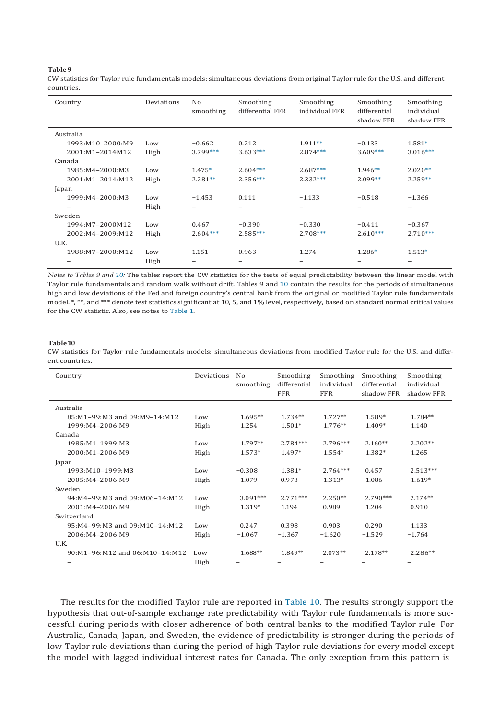#### <span id="page-22-0"></span>**Table 9**

CW statistics for Taylor rule fundamentals models: simultaneous deviations from original Taylor rule for the U.S. and different countries.

| Country                  | Deviations | No<br>smoothing | Smoothing<br>differential FFR | Smoothing<br>individual FFR | Smoothing<br>differential<br>shadow FFR | Smoothing<br>individual<br>shadow FFR |
|--------------------------|------------|-----------------|-------------------------------|-----------------------------|-----------------------------------------|---------------------------------------|
| Australia                |            |                 |                               |                             |                                         |                                       |
| 1993:M10-2000:M9         | Low        | $-0.662$        | 0.212                         | $1.911**$                   | $-0.133$                                | $1.581*$                              |
| 2001:M1-2014M12          | High       | $3.799***$      | $3.633***$                    | $2.874***$                  | $3.609***$                              | $3.016***$                            |
| Canada                   |            |                 |                               |                             |                                         |                                       |
| 1985:M4-2000:M3          | Low        | $1.475*$        | $2.604***$                    | $2.687***$                  | $1.946**$                               | $2.020**$                             |
| 2001:M1-2014:M12         | High       | $2.281**$       | $2.356***$                    | $2.332***$                  | $2.099**$                               | $2.259**$                             |
| Japan                    |            |                 |                               |                             |                                         |                                       |
| 1999:M4-2000:M3          | Low        | $-1.453$        | 0.111                         | $-1.133$                    | $-0.518$                                | $-1.366$                              |
| -                        | High       | -               | $\overline{\phantom{a}}$      | $\overline{\phantom{a}}$    | -                                       | -                                     |
| Sweden                   |            |                 |                               |                             |                                         |                                       |
| 1994:M7-2000M12          | Low        | 0.467           | $-0.390$                      | $-0.330$                    | $-0.411$                                | $-0.367$                              |
| 2002:M4-2009:M12         | High       | $2.604***$      | $2.585***$                    | $2.708***$                  | $2.610***$                              | $2.710***$                            |
| U.K.                     |            |                 |                               |                             |                                         |                                       |
| 1988:M7-2000:M12         | Low        | 1.151           | 0.963                         | 1.274                       | $1.286*$                                | $1.513*$                              |
| $\overline{\phantom{a}}$ | High       |                 | $\overline{\phantom{a}}$      |                             | -                                       |                                       |

*Notes to Tables 9 and [10:](#page-22-0)* The tables report the CW statistics for the tests of equal predictability between the linear model with Taylor rule fundamentals and random walk without drift. Tables 9 and [10](#page-22-0) contain the results for the periods of simultaneous high and low deviations of the Fed and foreign country's central bank from the original or modified Taylor rule fundamentals model. \*, \*\*, and \*\*\* denote test statistics significant at 10, 5, and 1% level, respectively, based on standard normal critical values for the CW statistic. Also, see notes to [Table 1.](#page-12-0)

#### **Table10**

CW statistics for Taylor rule fundamentals models: simultaneous deviations from modified Taylor rule for the U.S. and different countries.

| Country                        | Deviations | No<br>smoothing | Smoothing<br>differential<br><b>FFR</b> | Smoothing<br>individual<br><b>FFR</b> | Smoothing<br>differential<br>shadow FFR | Smoothing<br>individual<br>shadow FFR |
|--------------------------------|------------|-----------------|-----------------------------------------|---------------------------------------|-----------------------------------------|---------------------------------------|
| Australia                      |            |                 |                                         |                                       |                                         |                                       |
| 85:M1-99:M3 and 09:M9-14:M12   | Low        | $1.695**$       | $1.734**$                               | $1.727**$                             | 1.589*                                  | $1.784**$                             |
| 1999:M4-2006:M9                | High       | 1.254           | $1.501*$                                | $1.776**$                             | $1.409*$                                | 1.140                                 |
| Canada                         |            |                 |                                         |                                       |                                         |                                       |
| 1985:M1-1999:M3                | Low        | $1.797**$       | $2.784***$                              | $2.796***$                            | $2.160**$                               | $2.202**$                             |
| 2000:M1-2006:M9                | High       | $1.573*$        | 1.497*                                  | $1.554*$                              | 1.382*                                  | 1.265                                 |
| Japan                          |            |                 |                                         |                                       |                                         |                                       |
| 1993:M10-1999:M3               | Low        | $-0.308$        | 1.381*                                  | $2.764***$                            | 0.457                                   | $2.513***$                            |
| 2005:M4-2006:M9                | High       | 1.079           | 0.973                                   | $1.313*$                              | 1.086                                   | $1.619*$                              |
| Sweden                         |            |                 |                                         |                                       |                                         |                                       |
| 94:M4-99:M3 and 09:M06-14:M12  | Low        | $3.091***$      | $2.771***$                              | $2.250**$                             | $2.790***$                              | $2.174**$                             |
| 2001:M4-2006:M9                | High       | 1.319*          | 1.194                                   | 0.989                                 | 1.204                                   | 0.910                                 |
| Switzerland                    |            |                 |                                         |                                       |                                         |                                       |
| 95:M4-99:M3 and 09:M10-14:M12  | Low        | 0.247           | 0.398                                   | 0.903                                 | 0.290                                   | 1.133                                 |
| 2006:M4-2006:M9                | High       | $-1.067$        | $-1.367$                                | $-1.620$                              | $-1.529$                                | $-1.764$                              |
| IJ.K.                          |            |                 |                                         |                                       |                                         |                                       |
| 90:M1-96:M12 and 06:M10-14:M12 | Low        | 1.688**         | 1.849**                                 | $2.073**$                             | $2.178**$                               | $2.286**$                             |
| -                              | High       |                 |                                         |                                       |                                         |                                       |

The results for the modified Taylor rule are reported in [Table](#page-22-0) 10. The results strongly support the hypothesis that out-of-sample exchange rate predictability with Taylor rule fundamentals is more successful during periods with closer adherence of both central banks to the modified Taylor rule. For Australia, Canada, Japan, and Sweden, the evidence of predictability is stronger during the periods of low Taylor rule deviations than during the period of high Taylor rule deviations for every model except the model with lagged individual interest rates for Canada. The only exception from this pattern is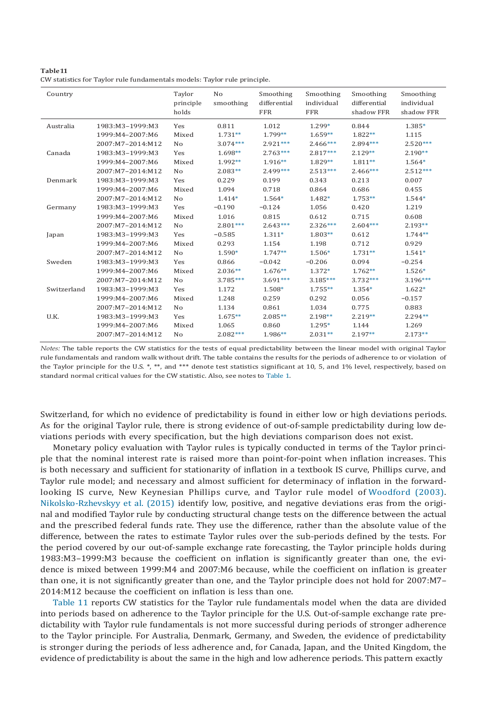<span id="page-23-0"></span>

| Table 11                                                                  |  |
|---------------------------------------------------------------------------|--|
| CW statistics for Taylor rule fundamentals models: Taylor rule principle. |  |

| Country     |                  | Taylor<br>principle<br>holds | No<br>smoothing | Smoothing<br>differential<br><b>FFR</b> | Smoothing<br>individual<br><b>FFR</b> | Smoothing<br>differential<br>shadow FFR | Smoothing<br>individual<br>shadow FFR |
|-------------|------------------|------------------------------|-----------------|-----------------------------------------|---------------------------------------|-----------------------------------------|---------------------------------------|
| Australia   | 1983:M3-1999:M3  | Yes                          | 0.811           | 1.012                                   | 1.299*                                | 0.844                                   | 1.385*                                |
|             | 1999:M4-2007:M6  | Mixed                        | $1.731**$       | 1.799**                                 | $1.659**$                             | $1.822**$                               | 1.115                                 |
|             | 2007:M7-2014:M12 | N <sub>o</sub>               | $3.074***$      | $2.921***$                              | 2.466***                              | $2.894***$                              | $2.520***$                            |
| Canada      | 1983:M3-1999:M3  | Yes                          | $1.698**$       | $2.763***$                              | $2.817***$                            | $2.129**$                               | $2.190**$                             |
|             | 1999:M4-2007:M6  | Mixed                        | 1.992**         | $1.916**$                               | $1.829**$                             | $1.811**$                               | $1.564*$                              |
|             | 2007:M7-2014:M12 | N <sub>o</sub>               | $2.083**$       | $2.499***$                              | $2.513***$                            | $2.466***$                              | $2.512***$                            |
| Denmark     | 1983:M3-1999:M3  | Yes                          | 0.229           | 0.199                                   | 0.343                                 | 0.213                                   | 0.007                                 |
|             | 1999:M4-2007:M6  | Mixed                        | 1.094           | 0.718                                   | 0.864                                 | 0.686                                   | 0.455                                 |
|             | 2007:M7-2014:M12 | N <sub>o</sub>               | $1.414*$        | $1.564*$                                | $1.482*$                              | $1.753**$                               | $1.544*$                              |
| Germany     | 1983:M3-1999:M3  | Yes                          | $-0.190$        | $-0.124$                                | 1.056                                 | 0.420                                   | 1.219                                 |
|             | 1999:M4-2007:M6  | Mixed                        | 1.016           | 0.815                                   | 0.612                                 | 0.715                                   | 0.608                                 |
|             | 2007:M7-2014:M12 | No                           | $2.801***$      | $2.643***$                              | $2.326***$                            | $2.604***$                              | $2.193**$                             |
| Japan       | 1983:M3-1999:M3  | Yes                          | $-0.585$        | $1.311*$                                | $1.803**$                             | 0.612                                   | $1.744**$                             |
|             | 1999:M4-2007:M6  | Mixed                        | 0.293           | 1.154                                   | 1.198                                 | 0.712                                   | 0.929                                 |
|             | 2007:M7-2014:M12 | N <sub>o</sub>               | 1.590*          | $1.747**$                               | $1.506*$                              | $1.731**$                               | $1.541*$                              |
| Sweden      | 1983:M3-1999:M3  | Yes                          | 0.866           | $-0.042$                                | $-0.206$                              | 0.094                                   | $-0.254$                              |
|             | 1999:M4-2007:M6  | Mixed                        | $2.036**$       | $1.676**$                               | $1.372*$                              | $1.762**$                               | $1.526*$                              |
|             | 2007:M7-2014:M12 | N <sub>o</sub>               | 3.785***        | $3.691***$                              | 3.185***                              | $3.732***$                              | $3.196***$                            |
| Switzerland | 1983:M3-1999:M3  | Yes                          | 1.172           | 1.508*                                  | $1.755**$                             | $1.354*$                                | $1.622*$                              |
|             | 1999:M4-2007:M6  | Mixed                        | 1.248           | 0.259                                   | 0.292                                 | 0.056                                   | $-0.157$                              |
|             | 2007:M7-2014:M12 | N <sub>o</sub>               | 1.134           | 0.861                                   | 1.034                                 | 0.775                                   | 0.883                                 |
| U.K.        | 1983:M3-1999:M3  | Yes                          | $1.675**$       | $2.085**$                               | $2.198**$                             | $2.219**$                               | $2.294**$                             |
|             | 1999:M4-2007:M6  | Mixed                        | 1.065           | 0.860                                   | $1.295*$                              | 1.144                                   | 1.269                                 |
|             | 2007:M7-2014:M12 | No                           | $2.082***$      | 1.986**                                 | $2.031**$                             | $2.197**$                               | $2.173**$                             |

*Notes:* The table reports the CW statistics for the tests of equal predictability between the linear model with original Taylor rule fundamentals and random walk without drift. The table contains the results for the periods of adherence to or violation of the Taylor principle for the U.S. \*, \*\*, and \*\*\* denote test statistics significant at 10, 5, and 1% level, respectively, based on standard normal critical values for the CW statistic. Also, see notes to [Table 1.](#page-12-0)

Switzerland, for which no evidence of predictability is found in either low or high deviations periods. As for the original Taylor rule, there is strong evidence of out-of-sample predictability during low deviations periods with every specification, but the high deviations comparison does not exist.

Monetary policy evaluation with Taylor rules is typically conducted in terms of the Taylor principle that the nominal interest rate is raised more than point-for-point when inflation increases. This is both necessary and sufficient for stationarity of inflation in a textbook IS curve, Phillips curve, and Taylor rule model; and necessary and almost sufficient for determinacy of inflation in the forwardlooking IS curve, New Keynesian Phillips curve, and Taylor rule model o[f Woodford \(2003\).](#page-25-35) [Nikolsko-Rzhevskyy](#page-25-13) et al. (2015) identify low, positive, and negative deviations eras from the original and modified Taylor rule by conducting structural change tests on the difference between the actual and the prescribed federal funds rate. They use the difference, rather than the absolute value of the difference, between the rates to estimate Taylor rules over the sub-periods defined by the tests. For the period covered by our out-of-sample exchange rate forecasting, the Taylor principle holds during 1983:M3–1999:M3 because the coefficient on inflation is significantly greater than one, the evidence is mixed between 1999:M4 and 2007:M6 because, while the coefficient on inflation is greater than one, it is not significantly greater than one, and the Taylor principle does not hold for 2007:M7– 2014:M12 because the coefficient on inflation is less than one.

[Table](#page-23-0) 11 reports CW statistics for the Taylor rule fundamentals model when the data are divided into periods based on adherence to the Taylor principle for the U.S. Out-of-sample exchange rate predictability with Taylor rule fundamentals is not more successful during periods of stronger adherence to the Taylor principle. For Australia, Denmark, Germany, and Sweden, the evidence of predictability is stronger during the periods of less adherence and, for Canada, Japan, and the United Kingdom, the evidence of predictability is about the same in the high and low adherence periods. This pattern exactly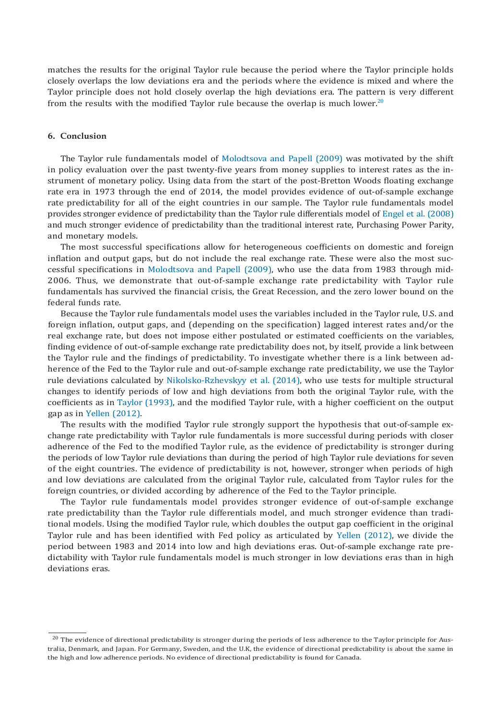matches the results for the original Taylor rule because the period where the Taylor principle holds closely overlaps the low deviations era and the periods where the evidence is mixed and where the Taylor principle does not hold closely overlap the high deviations era. The pattern is very different from the results with the modified Taylor rule because the overlap is much lower.<sup>[20](#page-24-0)</sup>

#### **6. Conclusion**

The Taylor rule fundamentals model of [Molodtsova](#page-25-8) and Papell (2009) was motivated by the shift in policy evaluation over the past twenty-five years from money supplies to interest rates as the instrument of monetary policy. Using data from the start of the post-Bretton Woods floating exchange rate era in 1973 through the end of 2014, the model provides evidence of out-of-sample exchange rate predictability for all of the eight countries in our sample. The Taylor rule fundamentals model provides stronger evidence of predictability than the Taylor rule differentials model of Engel et al. [\(2008\)](#page-25-0) and much stronger evidence of predictability than the traditional interest rate, Purchasing Power Parity, and monetary models.

The most successful specifications allow for heterogeneous coefficients on domestic and foreign inflation and output gaps, but do not include the real exchange rate. These were also the most successful specifications in [Molodtsova and Papell](#page-25-8) (2009), who use the data from 1983 through mid-2006. Thus, we demonstrate that out-of-sample exchange rate predictability with Taylor rule fundamentals has survived the financial crisis, the Great Recession, and the zero lower bound on the federal funds rate.

Because the Taylor rule fundamentals model uses the variables included in the Taylor rule, U.S. and foreign inflation, output gaps, and (depending on the specification) lagged interest rates and/or the real exchange rate, but does not impose either postulated or estimated coefficients on the variables, finding evidence of out-of-sample exchange rate predictability does not, by itself, provide a link between the Taylor rule and the findings of predictability. To investigate whether there is a link between adherence of the Fed to the Taylor rule and out-of-sample exchange rate predictability, we use the Taylor rule deviations calculated by [Nikolsko-Rzhevskyy](#page-25-14) et al. (2014), who use tests for multiple structural changes to identify periods of low and high deviations from both the original Taylor rule, with the coefficients as in Taylor [\(1993\),](#page-25-12) and the modified Taylor rule, with a higher coefficient on the output gap as in Yellen [\(2012\).](#page-25-16)

The results with the modified Taylor rule strongly support the hypothesis that out-of-sample exchange rate predictability with Taylor rule fundamentals is more successful during periods with closer adherence of the Fed to the modified Taylor rule, as the evidence of predictability is stronger during the periods of low Taylor rule deviations than during the period of high Taylor rule deviations for seven of the eight countries. The evidence of predictability is not, however, stronger when periods of high and low deviations are calculated from the original Taylor rule, calculated from Taylor rules for the foreign countries, or divided according by adherence of the Fed to the Taylor principle.

The Taylor rule fundamentals model provides stronger evidence of out-of-sample exchange rate predictability than the Taylor rule differentials model, and much stronger evidence than traditional models. Using the modified Taylor rule, which doubles the output gap coefficient in the original Taylor rule and has been identified with Fed policy as articulated by Yellen [\(2012\),](#page-25-16) we divide the period between 1983 and 2014 into low and high deviations eras. Out-of-sample exchange rate predictability with Taylor rule fundamentals model is much stronger in low deviations eras than in high deviations eras.

<span id="page-24-0"></span> $20$  The evidence of directional predictability is stronger during the periods of less adherence to the Taylor principle for Australia, Denmark, and Japan. For Germany, Sweden, and the U.K, the evidence of directional predictability is about the same in the high and low adherence periods. No evidence of directional predictability is found for Canada.